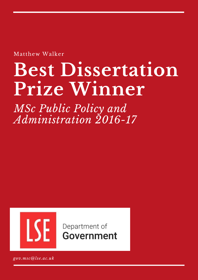Matthew Walker

# **Best Dissertation Prize Winner**

*MSc Public Policy and Administration 2016-17*



Department of **Government** 

*gov.msc@lse.ac.uk*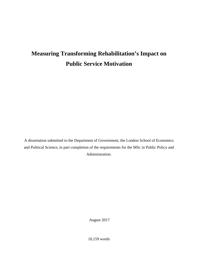## **Measuring Transforming Rehabilitation's Impact on Public Service Motivation**

A dissertation submitted to the Department of Government, the London School of Economics and Political Science, in part completion of the requirements for the MSc in Public Policy and Administration.

August 2017

10,159 words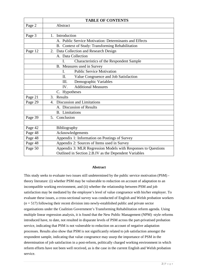|         | <b>TABLE OF CONTENTS</b>                                      |
|---------|---------------------------------------------------------------|
| Page 2  | Abstract                                                      |
|         |                                                               |
| Page 3  | Introduction<br>1.                                            |
|         | A. Public Service Motivation: Determinants and Effects        |
|         | B. Context of Study: Transforming Rehabilitation              |
| Page 12 | 2. Data Collection and Research Design                        |
|         | A. Data Collection                                            |
|         | Characteristics of the Respondent Sample<br>I.                |
|         | B. Measures used in Survey                                    |
|         | <b>Public Service Motivation</b><br>I.                        |
|         | Value Congruence and Job Satisfaction<br>Π.                   |
|         | Demographic Variables<br>III.                                 |
|         | <b>Additional Measures</b><br>IV.                             |
|         | C. Hypotheses                                                 |
| Page 21 | Results<br>3.                                                 |
| Page 29 | Discussion and Limitations<br>4.                              |
|         | A. Discussion of Results                                      |
|         | <b>B.</b> Limitations                                         |
| Page 39 | Conclusion<br>5.                                              |
|         |                                                               |
| Page 42 | Bibliography                                                  |
| Page 48 | Acknowledgements                                              |
| Page 48 | Appendix 1: Information on Postings of Survey                 |
| Page 48 | Appendix 2: Sources of Items used in Survey                   |
| Page 50 | Appendix 3: MLR Regression Models with Responses to Questions |
|         | Outlined in Section 2.B.IV as the Dependent Variables         |

#### **Abstract**

This study seeks to evaluate two issues still undetermined by the public service motivation (PSM) theory literature: (i) whether PSM may be vulnerable to reduction on account of adaptation to an incompatible working environment, and (ii) whether the relationship between PSM and job satisfaction may be mediated by the employee's level of value congruence with his/her employer. To evaluate these issues, a cross-sectional survey was conducted of English and Welsh probation workers (*n* = 517) following their recent division into newly-established public and private sector organisations under the Coalition Government's Transforming Rehabilitation reform agenda. Using multiple linear regression analysis, it is found that the New Public Management (NPM) -style reforms introduced have, to date, not resulted in disparate levels of PSM across the part-privatised probation service, indicating that PSM is not vulnerable to reduction on account of negative adaptation processes. Results also show that PSM is not significantly related to job satisfaction amongst the respondent sample, indicating that value congruence may usurp the importance of PSM in the determination of job satisfaction in a post-reform, politically charged working environment in which reform efforts have not been well received, as is the case in the current English and Welsh probation service.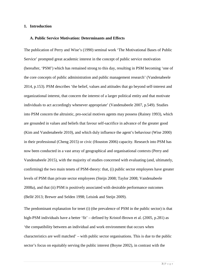#### **1. Introduction**

#### **A. Public Service Motivation: Determinants and Effects**

The publication of Perry and Wise's (1990) seminal work 'The Motivational Bases of Public Service' prompted great academic interest in the concept of public service motivation (hereafter, 'PSM') which has remained strong to this day, resulting in PSM becoming 'one of the core concepts of public administration and public management research' (Vandenabeele 2014, p.153). PSM describes 'the belief, values and attitudes that go beyond self-interest and organizational interest, that concern the interest of a larger political entity and that motivate individuals to act accordingly whenever appropriate' (Vandenabeele 2007, p.549). Studies into PSM concern the altruistic, pro-social motives agents may possess (Rainey 1993), which are grounded in values and beliefs that favour self-sacrifice in advance of the greater good (Kim and Vandenabeele 2010), and which duly influence the agent's behaviour (Wise 2000) in their professional (Cheng 2015) or civic (Houston 2006) capacity. Research into PSM has now been conducted in a vast array of geographical and organisational contexts (Perry and Vandenabeele 2015), with the majority of studies concerned with evaluating (and, ultimately, confirming) the two main tenets of PSM-theory: that, (i) public sector employees have greater levels of PSM than private sector employees (Steijn 2008; Taylor 2008; Vandenabeele 2008a), and that (ii) PSM is positively associated with desirable performance outcomes (Bellé 2013; Brewer and Selden 1998; Leisink and Steijn 2009).

The predominant explanation for tenet (i) (the prevalence of PSM in the public sector) is that high-PSM individuals have a better 'fit' – defined by Kristof-Brown et al. (2005, p.281) as 'the compatibility between an individual and work environment that occurs when characteristics are well matched' – with public sector organisations. This is due to the public sector's focus on equitably serving the public interest (Boyne 2002), in contrast with the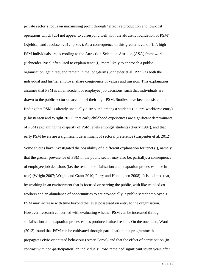private sector's focus on maximising profit through 'effective production and low-cost operations which [do] not appear to correspond well with the altruistic foundation of PSM' (Kjeldsen and Jacobsen 2012, p.902). As a consequence of this greater level of 'fit', high-PSM individuals are, according to the Attraction-Selection-Attrition (ASA) framework (Schneider 1987) often used to explain tenet (i), more likely to approach a public organisation, get hired, and remain in the long-term (Schneider et al. 1995) as both the individual and his/her employer share congruence of values and mission. This explanation assumes that PSM is an antecedent of employee job decisions, such that individuals are drawn to the public sector on account of their high-PSM. Studies have been consistent in finding that PSM is already unequally distributed amongst students (i.e. pre-workforce entry) (Christensen and Wright 2011), that early childhood experiences are significant determinants of PSM (explaining the disparity of PSM levels amongst students) (Perry 1997), and that early PSM levels are a significant determinant of sectoral preference (Carpenter et al. 2012).

Some studies have investigated the possibility of a different explanation for tenet (i), namely, that the greater prevalence of PSM in the public sector may also be, partially, a consequence of employee job decisions (i.e. the result of socialisation and adaptation processes once inrole) (Wright 2007; Wright and Grant 2010; Perry and Hondeghen 2008). It is claimed that, by working in an environment that is focused on serving the public, with like-minded coworkers and an abundance of opportunities to act pro-socially, a public sector employee's PSM may increase with time beyond the level possessed on entry to the organisation. However, research concerned with evaluating whether PSM can be increased through socialisation and adaptation processes has produced mixed results. On the one hand, Ward (2013) found that PSM can be cultivated through participation in a programme that propagates civic-orientated behaviour (AmeriCorps), and that the effect of participation (in contrast with non-participation) on individuals' PSM remained significant seven years after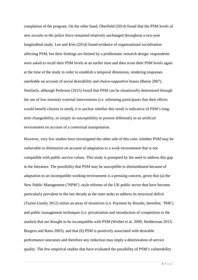completion of the program. On the other hand, Oberfield (2014) found that the PSM levels of new recruits to the police force remained relatively unchanged throughout a two-year longitudinal study. Lee and Kim (2014) found evidence of organisational socialisation affecting PSM, but their findings are limited by a problematic research design: respondents were asked to recall their PSM levels at an earlier time and then score their PSM levels again at the time of the study in order to establish a temporal dimension, rendering responses unreliable on account of social desirability and choice-supportive biases (Baron 2007). Similarly, although Pedersen (2015) found that PSM can be situationally determined through the use of low-intensity external interventions (i.e. informing participants that their efforts would benefit citizens in need), it is unclear whether this result is indicative of PSM's longterm changeability, or simply its susceptibility to present differently in an artificial environment on account of a contextual manipulation.

However, very few studies have investigated the other side of this coin: whether PSM may be *vulnerable to diminution* on account of adaptation to a work environment that is *not* compatible with public service values. This study is prompted by the need to address this gap in the literature. The possibility that PSM may be susceptible to diminishment because of adaptation to an incompatible working environment is a pressing concern, given that (a) the New Public Management ('NPM') -style reforms of the UK public sector that have become particularly prevalent in the last decade as the state seeks to address its structural deficit (Taylor-Gooby 2012) utilise an array of incentives (i.e. Payment by Results, hereafter, 'PbR') and public management techniques (i.e. privatisation and introduction of competition to the market) that are thought to be incompatible with PSM (Weibel et al. 2009; Hedderman 2013; Burgess and Ratto 2003), and that (b) PSM is positively associated with desirable performance outcomes and therefore any reduction may imply a deterioration of service quality. The few empirical studies that have evaluated the possibility of PSM's vulnerability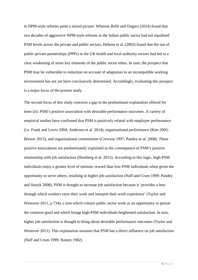to NPM-style reforms paint a mixed picture. Whereas Bellé and Ongaro (2014) found that two decades of aggressive NPM-style reforms in the Italian public sector had not equalised PSM levels across the private and public sectors, Hebson et al. (2003) found that the use of public-private partnerships (PPPs) in the UK health and local authority sectors had led to a clear weakening of some key elements of the public sector ethos. In sum, the prospect that PSM may be vulnerable to reduction on account of adaptation to an incompatible working environment has not yet been conclusively determined. Accordingly, evaluating this prospect is a major focus of the present study.

The second focus of this study concerns a gap in the predominant explanation offered for tenet (ii): PSM's positive association with desirable performance outcomes. A variety of empirical studies have confirmed that PSM is positively related with employee performance (i.e. Frank and Lewis 2004; Andersen et al. 2014), organisational performance (Kim 2005; Brewer 2013), and organisational commitment (Crewson 1997; Pandey et al. 2008). These positive associations are predominantly explained as the consequence of PSM's positive relationship with job satisfaction (Homberg et al. 2015). According to this logic, high-PSM individuals enjoy a greater level of intrinsic reward than low-PSM individuals when given the opportunity to serve others, resulting in higher job satisfaction (Naff and Crum 1999; Pandey and Stazyk 2008). PSM is thought to increase job satisfaction because it 'provides a lens through which workers view their work and interpret their work experience' (Taylor and Westover 2011, p.734); a lens which colours public sector work as an opportunity to pursue the common good and which brings high-PSM individuals heightened satisfaction. In turn, higher job satisfaction is thought to bring about desirable performance outcomes (Taylor and Westover 2011). This explanation assumes that PSM has a direct influence on job satisfaction (Naff and Crum 1999; Rainey 1982).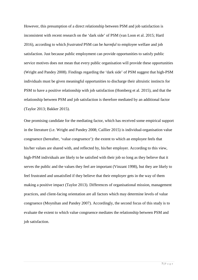However, this presumption of a direct relationship between PSM and job satisfaction is inconsistent with recent research on the 'dark side' of PSM (van Loon et al. 2015; Hartl 2016), according to which *frustrated* PSM can be *harmful* to employee welfare and job satisfaction. Just because public employment can provide opportunities to satisfy public service motives does not mean that every public organisation will provide these opportunities (Wright and Pandey 2008). Findings regarding the 'dark side' of PSM suggest that high-PSM individuals must be given meaningful opportunities to discharge their altruistic instincts for PSM to have a positive relationship with job satisfaction (Homberg et al. 2015), and that the relationship between PSM and job satisfaction is therefore mediated by an additional factor (Taylor 2013; Bakker 2015).

One promising candidate for the mediating factor, which has received some empirical support in the literature (i.e. Wright and Pandey 2008; Caillier 2015) is individual-organisation value congruence (hereafter, 'value congruence'): the extent to which an employee feels that his/her values are shared with, and reflected by, his/her employer. According to this view, high-PSM individuals are likely to be satisfied with their job so long as they believe that it serves the public and the values they feel are important (Vinzant 1998), but they are likely to feel frustrated and unsatisfied if they believe that their employer gets in the way of them making a positive impact (Taylor 2013). Differences of organisational mission, management practices, and client-facing orientation are all factors which may determine levels of value congruence (Moynihan and Pandey 2007). Accordingly, the second focus of this study is to evaluate the extent to which value congruence mediates the relationship between PSM and job satisfaction.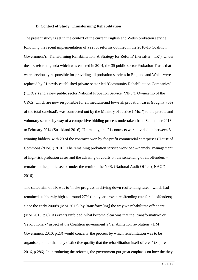#### **B. Context of Study: Transforming Rehabilitation**

The present study is set in the context of the current English and Welsh probation service, following the recent implementation of a set of reforms outlined in the 2010-15 Coalition Government's 'Transforming Rehabilitation: A Strategy for Reform' (hereafter, 'TR'). Under the TR reform agenda which was enacted in 2014, the 35 public sector Probation Trusts that were previously responsible for providing all probation services in England and Wales were replaced by 21 newly established private-sector led 'Community Rehabilitation Companies' ('CRCs') and a new public sector National Probation Service ('NPS'). Ownership of the CRCs, which are now responsible for all medium-and low-risk probation cases (roughly 70% of the total caseload), was contracted out by the Ministry of Justice ('MoJ') to the private and voluntary sectors by way of a competitive bidding process undertaken from September 2013 to February 2014 (Strickland 2016). Ultimately, the 21 contracts were divided up between 8 winning bidders, with 20 of the contracts won by for-profit commercial enterprises (House of Commons ('HoC') 2016). The remaining probation service workload – namely, management of high-risk probation cases and the advising of courts on the sentencing of all offenders – remains in the public sector under the remit of the NPS. (National Audit Office ('NAO') 2016).

The stated aim of TR was to 'make progress in driving down reoffending rates', which had remained stubbornly high at around 27% (one-year proven reoffending rate for all offenders) since the early 2000's (MoJ 2012), by 'transform[ing] the way we rehabilitate offenders' (MoJ 2013, p.6). As events unfolded, what become clear was that the 'transformative' or 'revolutionary' aspect of the Coalition government's 'rehabilitation revolution' (HM Government 2010, p.23) would concern 'the process by which rehabilitation was to be organised, rather than any distinctive quality that the rehabilitation itself offered' (Squires 2016, p.286). In introducing the reforms, the government put great emphasis on how the they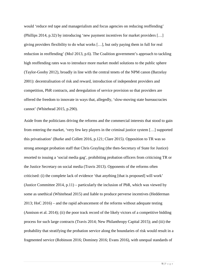would 'reduce red tape and managerialism and focus agencies on reducing reoffending' (Phillips 2014, p.32) by introducing 'new payment incentives for market providers […] giving providers flexibility to do what works […], but only paying them in full for real reduction in reoffending' (MoJ 2013, p.6). The Coalition government's approach to tackling high reoffending rates was to introduce more market model solutions to the public sphere (Taylor-Gooby 2012), broadly in line with the central tenets of the NPM canon (Barzelay 2001): decentralisation of risk and reward, introduction of independent providers and competition, PbR contracts, and deregulation of service provision so that providers are offered the freedom to innovate in ways that, allegedly, 'slow-moving state bureaucracies cannot' (Whitehead 2015, p.290).

Aside from the politicians driving the reforms and the commercial interests that stood to gain from entering the market, 'very few key players in the criminal justice system […] supported this privatisation' (Burke and Collett 2016, p.121; Clare 2015). Opposition to TR was so strong amongst probation staff that Chris Grayling (the then-Secretary of State for Justice) resorted to issuing a 'social media gag', prohibiting probation officers from criticising TR or the Justice Secretary on social media (Travis 2013). Opponents of the reforms often criticised: (i) the complete lack of evidence 'that anything [that is proposed] will work' (Justice Committee 2014,  $p.11$ ) – particularly the inclusion of PbR, which was viewed by some as unethical (Whitehead 2015) and liable to produce perverse incentives (Hedderman 2013; HoC 2016) – and the rapid advancement of the reforms without adequate testing (Annison et al. 2014); (ii) the poor track record of the likely victors of a competitive bidding process for such large contracts (Travis 2014; New Philanthropy Capital 2015); and (iii) the probability that stratifying the probation service along the boundaries of risk would result in a fragmented service (Robinson 2016; Dominey 2016; Evans 2016), with unequal standards of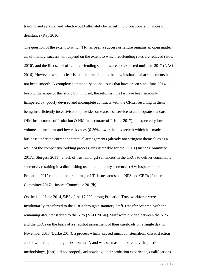training and service, and which would ultimately be harmful to probationers' chances of desistance (Kay 2016).

The question of the extent to which TR has been a success or failure remains an open matter as, ultimately, success will depend on the extent to which reoffending rates are reduced (HoC 2016), and the first set of official reoffending statistics are not expected until late 2017 (NAO 2016). However, what is clear is that the transition to the new institutional arrangements has not been smooth. A complete commentary on the issues that have arisen since June 2014 is beyond the scope of this study but, in brief, the reforms thus far have been seriously hampered by: poorly devised and incomplete contracts with the CRCs, resulting in them being insufficiently incentivised to provide some areas of service to an adequate standard (HM Inspectorate of Probation & HM Inspectorate of Prisons 2017); unexpectedly low volumes of medium-and low-risk cases (6-36% lower than expected) which has made business under the current contractual arrangements (already too stringent themselves as a result of the competitive bidding process) unsustainable for the CRCs (Justice Committee 2017a; Sturgess 2011); a lack of trust amongst sentencers in the CRCs to deliver community sentences, resulting in a diminishing use of community sentences (HM Inspectorate of Probation 2017); and a plethora of major I.T. issues across the NPS and CRCs (Justice Committee 2017a; Justice Committee 2017b).

On the 1<sup>st</sup> of June 2014, 54% of the 17,000-strong Probation Trust workforce were involuntarily transferred to the CRCs through a statutory Staff Transfer Scheme, with the remaining 46% transferred to the NPS (NAO 2014a). Staff were divided between the NPS and the CRCs on the basis of a snapshot assessment of their caseloads on a single day in November 2013 (Burke 2014); a process which 'caused much consternation, dissatisfaction and bewilderment among probation staff', and was seen as 'an extremely simplistic methodology, [that] did not properly acknowledge their probation experience, qualifications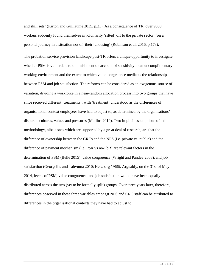and skill sets' (Kirton and Guillaume 2015, p.21). As a consequence of TR, over 9000 workers suddenly found themselves involuntarily 'sifted' off to the private sector, 'on a personal journey in a situation not of [their] choosing' (Robinson et al. 2016, p.173).

The probation service provision landscape post-TR offers a unique opportunity to investigate whether PSM is vulnerable to diminishment on account of sensitivity to an uncomplimentary working environment and the extent to which value-congruence mediates the relationship between PSM and job satisfaction. The reforms can be considered as an exogenous source of variation, dividing a workforce in a near-random allocation process into two groups that have since received different 'treatments'; with 'treatment' understood as the differences of organisational context employees have had to adjust to, as determined by the organisations' disparate cultures, values and pressures (Mullins 2010). Two implicit assumptions of this methodology, albeit ones which are supported by a great deal of research, are that the difference of ownership between the CRCs and the NPS (i.e. private vs. public) and the difference of payment mechanism (i.e. PbR vs no-PbR) are relevant factors in the determination of PSM (Bellé 2015), value congruence (Wright and Pandey 2008), and job satisfaction (Georgellis and Tabvuma 2010; Herzberg 1966). Arguably, on the 31st of May 2014, levels of PSM, value congruence, and job satisfaction would have been equally distributed across the two (yet to be formally split) groups. Over three years later, therefore, differences observed in these three variables amongst NPS and CRC staff can be attributed to differences in the organisational contexts they have had to adjust to.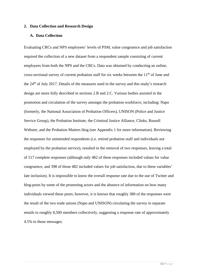#### **2. Data Collection and Research Design**

#### **A. Data Collection**

Evaluating CRCs and NPS employees' levels of PSM, value congruence and job satisfaction required the collection of a new dataset from a respondent sample consisting of current employees from both the NPS and the CRCs. Data was obtained by conducting an online, cross-sectional survey of current probation staff for six weeks between the  $11<sup>th</sup>$  of June and the 24<sup>th</sup> of July 2017. Details of the measures used in the survey and this study's research design are more fully described in sections 2.B and 2.C. Various bodies assisted in the promotion and circulation of the survey amongst the probation workforce, including: Napo (formerly, the National Association of Probation Officers), UNISON (Police and Justice Service Group), the Probation Institute, the Criminal Justice Alliance, Clinks, Russell Webster, and the Probation Matters blog (see Appendix 1 for more information). Reviewing the responses for unintended respondents (i.e. retired probation staff and individuals not employed by the probation service), resulted in the removal of two responses, leaving a total of 517 complete responses (although only 482 of these responses included values for value congruence, and 398 of those 482 included values for job satisfaction, due to these variables' late inclusion). It is impossible to know the overall response rate due to the use of Twitter and blog-posts by some of the promoting actors and the absence of information on how many individuals viewed these posts; however, it is known that roughly 380 of the responses were the result of the two trade unions (Napo and UNISON) circulating the survey in separate emails to roughly 8,500 members collectively, suggesting a response rate of approximately 4.5% to those messages.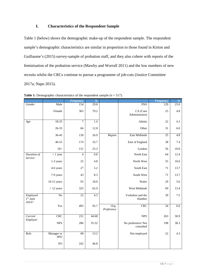#### **I. Characteristics of the Respondent Sample**

Table 1 (below) shows the demographic make-up of the respondent sample. The respondent sample's demographic characteristics are similar in proportion to those found in Kirton and Guillaume's (2015) survey-sample of probation staff, and they also cohere with reports of the feminisation of the probation service (Mawby and Worrall 2011) and the low numbers of new recruits whilst the CRCs continue to pursue a programme of job-cuts (Justice Committee 2017a; Napo 2015).

|                                    |                          | <b>Frequency</b> | $\%$             |                    |                                | <b>Frequency</b> | $\%$    |
|------------------------------------|--------------------------|------------------|------------------|--------------------|--------------------------------|------------------|---------|
| Gender                             | Male                     | 154              | 29.8             |                    | <b>PSO</b>                     | 129              | 25.0    |
|                                    | Female                   | 363              | 70.2             |                    | CA (Case<br>Administrator)     | 25               | 4.8     |
| Age                                | $18-25$                  | 7                | 1.4              |                    | Admin                          | 22               | 4.3     |
|                                    | $26 - 35$                | 66               | 12.8             |                    | Other                          | 31               | $6.0\,$ |
|                                    | 36-45                    | 139              | 26.9             | Region             | East Midlands                  | 25               | 4.8     |
|                                    | $46 - 55$                | 174              | 33.7             |                    | East of England                | 38               | 7.4     |
|                                    | $56+$                    | 131              | 25.3             |                    | London                         | 56               | 10.8    |
| Duration of                        | $< 1$ year               | $\overline{4}$   | $\overline{0.8}$ |                    | North East                     | 64               | 12.4    |
| Service                            | 1-3 years                | 25               | 4.8              |                    | North West                     | 55               | 10.6    |
|                                    | 4-6 years                | 27               | 5.2              |                    | South East                     | 71               | 13.7    |
|                                    | 7-9 years                | 43               | 8.3              |                    | South West                     | 71               | 13.7    |
|                                    | $10-12$ years            | 93               | 18.0             |                    | Wales                          | 29               | 5.6     |
|                                    | $> 12$ years             | 325              | 62.9             |                    | West Midlands                  | 69               | 13.4    |
| Employed<br>$I^{st}$ June<br>2014? | $\overline{No}$          | $\overline{22}$  | 4.3              |                    | Yorkshire and the<br>Humber    | 39               | $7.5$   |
|                                    | Yes                      | 495              | 95.7             | Org.<br>Preference | <b>CRC</b>                     | $\overline{34}$  | 6.6     |
| Current<br>Employer                | CRC                      | 231              | 44.68            |                    | <b>NPS</b>                     | 263              | 50.9    |
|                                    | <b>NPS</b>               | 286              | 55.32            |                    | No preference/Not<br>consulted | 198              | 38.3    |
| Role                               | Manager or<br><b>SPO</b> | 68               | 13.2             |                    | Not employed                   | 22               | 4.3     |
|                                    | PO                       | 242              | 46.8             |                    |                                |                  |         |

**Table 1:** Demographic characteristics of the respondent sample  $(n = 517)$ .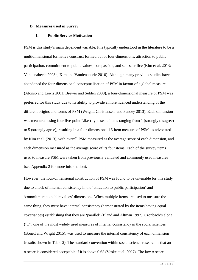#### **B. Measures used in Survey**

#### **I. Public Service Motivation**

PSM is this study's main dependent variable. It is typically understood in the literature to be a multidimensional formative construct formed out of four-dimensions: attraction to public participation, commitment to public values, compassion, and self-sacrifice (Kim et al. 2013; Vandenabeele 2008b; Kim and Vandenabeele 2010). Although many previous studies have abandoned the four-dimensional conceptualisation of PSM in favour of a global measure (Alonso and Lewis 2001; Brewer and Selden 2000), a four-dimensional measure of PSM was preferred for this study due to its ability to provide a more nuanced understanding of the different origins and forms of PSM (Wright, Christensen, and Pandey 2013). Each dimension was measured using four five-point Likert-type scale items ranging from 1 (strongly disagree) to 5 (strongly agree), resulting in a four-dimensional 16-item measure of PSM, as advocated by Kim et al. (2013), with overall PSM measured as the average score of each dimension, and each dimension measured as the average score of its four items. Each of the survey items used to measure PSM were taken from previously validated and commonly used measures (see Appendix 2 for more information).

However, the four-dimensional construction of PSM was found to be untenable for this study due to a lack of internal consistency in the 'attraction to public participation' and 'commitment to public values' dimensions. When multiple items are used to measure the same thing, they must have internal consistency (demonstrated by the items having equal covariances) establishing that they are 'parallel' (Bland and Altman 1997). Cronbach's alpha ('α'), one of the most widely used measures of internal consistency in the social sciences (Bonett and Wright 2015), was used to measure the internal consistency of each dimension (results shown in Table 2). The standard convention within social science research is that an α-score is considered acceptable if it is above 0.65 (Vaske et al. 2007). The low α-score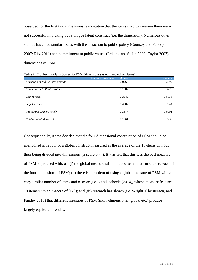observed for the first two dimensions is indicative that the items used to measure them were not successful in picking out a unique latent construct (i.e. the dimension). Numerous other studies have had similar issues with the attraction to public policy (Coursey and Pandey 2007; Ritz 2011) and commitment to public values (Leisink and Steijn 2009; Taylor 2007) dimensions of PSM.

|                                           | Average inter-item correlation | a-score |
|-------------------------------------------|--------------------------------|---------|
| <b>Attraction to Public Participation</b> | 0.0964                         | 0.2992  |
| <b>Commitment to Public Values</b>        | 0.1087                         | 0.3279  |
| Compassion                                | 0.3549                         | 0.6876  |
| Self-Sacrifice                            | 0.4087                         | 0.7344  |
| PSM (Four-Dimensional)                    | 0.3577                         | 0.6901  |
| PSM (Global Measure)                      | 0.1761                         | 0.7738  |

**Table 2:** Cronbach's Alpha Scores for PSM Dimensions (using standardized items)

Consequentially, it was decided that the four-dimensional construction of PSM should be abandoned in favour of a global construct measured as the average of the 16-items without their being divided into dimensions ( $α$ -score 0.77). It was felt that this was the best measure of PSM to proceed with, as: (i) the global measure still includes items that correlate to each of the four dimensions of PSM; (ii) there is precedent of using a global measure of PSM with a very similar number of items and α-score (i.e. Vandenabeele (2014), whose measure features 18 items with an α-score of 0.79); and (iii) research has shown (i.e. Wright, Christensen, and Pandey 2013) that different measures of PSM (multi-dimensional, global etc.) produce largely equivalent results.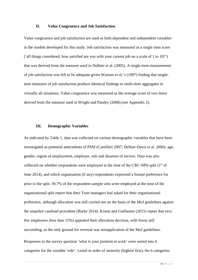#### **II. Value Congruence and Job Satisfaction**

Value congruence and job satisfaction are used as both dependent and independent variables in the models developed for this study. Job satisfaction was measured as a single item score ('all things considered, how satisfied are you with your current job on a scale of 1 to 10?') that was derived from the measure used in Dolbier et al. (2005). A single-item measurement of job satisfaction was felt to be adequate given Wanous et al.'s (1997) finding that singleitem measures of job satisfaction produce identical findings to multi-item aggregates in virtually all situations. Value congruence was measured as the average score of two items derived from the measure used in Wright and Pandey (2008) (see Appendix 2).

#### **III. Demographic Variables**

As indicated by Table 1, data was collected on various demographic variables that have been investigated as potential antecedents of PSM (Camilleri 2007; DeHart-Davis et al. 2006): age, gender, region of employment, employer, role and duration of service. Data was also collected on whether respondents were employed at the time of the CRC-NPS split (1<sup>st</sup> of June 2014), and which organisation (if any) respondents expressed a formal preference for prior to the split. 59.7% of the respondent sample who were employed at the time of the organisational split report that their Trust managers had asked for their organisational preference, although allocation was still carried out on the basis of the MoJ guidelines against the snapshot caseload procedure (Burke 2014). Kirton and Guillaume (2015) report that very few employees (less than 15%) appealed their allocation decision, with fewer still succeeding, as the only ground for reversal was misapplication of the MoJ guidelines.

Responses to the survey question 'what is your position at work' were sorted into 6 categories for the variable 'role'. Listed in order of seniority (highest first), the 6 categories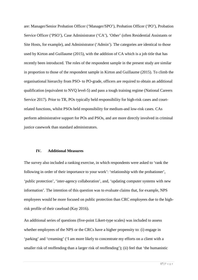are: Manager/Senior Probation Officer ('Manager/SPO'), Probation Officer ('PO'), Probation Service Officer ('PSO'), Case Administrator ('CA'), 'Other' (often Residential Assistants or Site Hosts, for example), and Administrator ('Admin'). The categories are identical to those used by Kirton and Guillaume (2015), with the addition of CA which is a job title that has recently been introduced. The roles of the respondent sample in the present study are similar in proportion to those of the respondent sample in Kirton and Guillaume (2015). To climb the organisational hierarchy from PSO- to PO-grade, officers are required to obtain an additional qualification (equivalent to NVQ level-5) and pass a tough training regime (National Careers Service 2017). Prior to TR, POs typically held responsibility for high-risk cases and courtrelated functions, whilst PSOs held responsibility for medium-and low-risk cases. CAs perform administrative support for POs and PSOs, and are more directly involved in criminal justice casework than standard administrators.

#### **IV. Additional Measures**

The survey also included a ranking exercise, in which respondents were asked to 'rank the following in order of their importance to your work': 'relationship with the probationer', 'public protection', 'inter-agency collaboration', and, 'updating computer systems with new information'. The intention of this question was to evaluate claims that, for example, NPS employees would be more focused on public protection than CRC employees due to the highrisk profile of their caseload (Kay 2016).

An additional series of questions (five-point Likert-type scales) was included to assess whether employees of the NPS or the CRCs have a higher propensity to: (i) engage in 'parking' and 'creaming' ('I am more likely to concentrate my efforts on a client with a smaller risk of reoffending than a larger risk of reoffending'); (ii) feel that 'the humanistic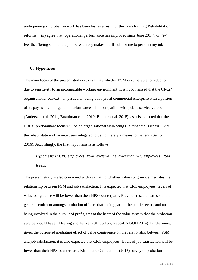underpinning of probation work has been lost as a result of the Transforming Rehabilitation reforms'; (iii) agree that 'operational performance has improved since June 2014'; or, (iv) feel that 'being so bound up in bureaucracy makes it difficult for me to perform my job'.

#### **C. Hypotheses**

The main focus of the present study is to evaluate whether PSM is vulnerable to reduction due to sensitivity to an incompatible working environment. It is hypothesised that the CRCs' organisational context – in particular, being a for-profit commercial enterprise with a portion of its payment contingent on performance – is incompatible with public service values (Andersen et al. 2011; Boardman et al. 2010; Bullock et al. 2015), as it is expected that the CRCs' predominant focus will be on organisational well-being (i.e. financial success), with the rehabilitation of service users relegated to being merely a means to that end (Senior 2016). Accordingly, the first hypothesis is as follows:

*Hypothesis 1: CRC employees' PSM levels will be lower than NPS employees' PSM levels.*

The present study is also concerned with evaluating whether value congruence mediates the relationship between PSM and job satisfaction. It is expected that CRC employees' levels of value congruence will be lower than their NPS counterparts. Previous research attests to the general sentiment amongst probation officers that 'being part of the public sector, and not being involved in the pursuit of profit, was at the heart of the value system that the probation service should have' (Deering and Feilzer 2017, p.166; Napo-UNISON 2014). Furthermore, given the purported mediating effect of value congruence on the relationship between PSM and job satisfaction, it is also expected that CRC employees' levels of job satisfaction will be lower than their NPS counterparts. Kirton and Guillaume's (2015) survey of probation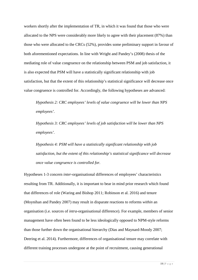workers shortly after the implementation of TR, in which it was found that those who were allocated to the NPS were considerably more likely to agree with their placement (87%) than those who were allocated to the CRCs (52%), provides some preliminary support in favour of both aforementioned expectations. In line with Wright and Pandey's (2008) thesis of the mediating role of value congruence on the relationship between PSM and job satisfaction, it is also expected that PSM will have a statistically significant relationship with job satisfaction, but that the extent of this relationship's statistical significance will decrease once value congruence is controlled for. Accordingly, the following hypotheses are advanced:

*Hypothesis 2: CRC employees' levels of value congruence will be lower than NPS employees'.*

*Hypothesis 3: CRC employees' levels of job satisfaction will be lower than NPS employees'.*

*Hypothesis 4: PSM will have a statistically significant relationship with job satisfaction, but the extent of this relationship's statistical significance will decrease once value congruence is controlled for.*

Hypotheses 1-3 concern *inter*-organisational differences of employees' characteristics resulting from TR. Additionally, it is important to bear in mind prior research which found that differences of role (Waring and Bishop 2011; Robinson et al. 2016) and tenure (Moynihan and Pandey 2007) may result in disparate reactions to reforms *within* an organisation (i.e. sources of *intra*-organisational difference). For example, members of senior management have often been found to be less ideologically opposed to NPM-style reforms than those further down the organisational hierarchy (Dias and Maynard-Moody 2007; Deering et al. 2014). Furthermore, differences of organisational tenure may correlate with different training processes undergone at the point of recruitment, causing generational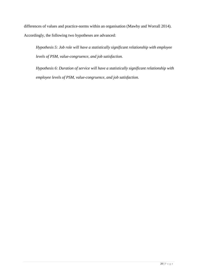differences of values and practice-norms within an organisation (Mawby and Worrall 2014). Accordingly, the following two hypotheses are advanced:

*Hypothesis 5: Job role will have a statistically significant relationship with employee levels of PSM, value-congruence, and job satisfaction.*

*Hypothesis 6: Duration of service will have a statistically significant relationship with employee levels of PSM, value-congruence, and job satisfaction.*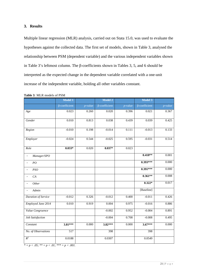#### **3. Results**

Multiple linear regression (MLR) analysis, carried out on Stata 15.0, was used to evaluate the hypotheses against the collected data. The first set of models, shown in Table 3, analysed the relationship between PSM (dependent variable) and the various independent variables shown in Table 3's leftmost column. The β-coefficients shown in Tables 3, 5, and 6 should be interpreted as the expected change in the dependent variable correlated with a one-unit increase of the independent variable, holding all other variables constant.

|                            | Model 1              |            | Model 2              |            | Model 3              |            |
|----------------------------|----------------------|------------|----------------------|------------|----------------------|------------|
|                            | $\beta$ -coefficient | $p$ -value | $\beta$ -coefficient | $p$ -value | $\beta$ -coefficient | $p$ -value |
| Age                        | 0.023                | 0.260      | 0.020                | 0.396      | 0.021                | 0.367      |
| Gender                     | 0.010                | 0.813      | 0.038                | 0.439      | 0.039                | 0.425      |
| Region                     | $-0.010$             | 0.198      | $-0.014$             | 0.111      | $-0.013$             | 0.133      |
| Employer                   | $-0.024$             | 0.544      | $-0.025$             | 0.595      | $-0.031$             | 0.514      |
| Role                       | $0.033*$             | 0.020      | $0.037*$             | 0.023      |                      |            |
| Manager/SPO                |                      |            |                      |            | $0.418**$            | 0.001      |
| PO                         |                      |            |                      |            | $0.393***$           | 0.000      |
| <b>PSO</b>                 |                      |            |                      |            | $0.391***$           | 0.000      |
| CA                         |                      |            |                      |            | $0.361**$            | 0.008      |
| Other                      |                      |            |                      |            | $0.322*$             | 0.017      |
| Admin                      |                      |            |                      |            | [Baseline]           |            |
| <b>Duration of Service</b> | $-0.012$             | 0.326      | $-0.012$             | 0.400      | $-0.011$             | 0.426      |
| Employed June 2014         | 0.010                | 0.919      | 0.004                | 0.975      | $-0.016$             | 0.886      |
| Value Congruence           |                      |            | $-0.002$             | 0.952      | $-0.004$             | 0.891      |
| <b>Job Satisfaction</b>    |                      |            | $-0.004$             | 0.708      | $-0.008$             | 0.495      |
| Constant                   | 3.81***              | 0.000      | 3.82***              | 0.000      | $3.67***$            | 0.000      |
| No. of Observations        | $\overline{517}$     |            | 398                  |            | 398                  |            |
| $R^2$                      | 0.0188               |            | 0.0307               |            | 0.0549               |            |

**Table 3***:* MLR models of PSM

 $* = p < .05; * = p < .01; * = p < .001.$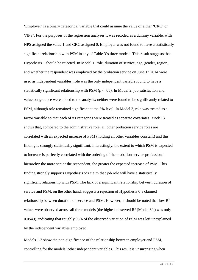'Employer' is a binary categorical variable that could assume the value of either 'CRC' or 'NPS'. For the purposes of the regression analyses it was recoded as a dummy variable, with NPS assigned the value 1 and CRC assigned 0. Employer was not found to have a statistically significant relationship with PSM in any of Table 3's three models. This result suggests that Hypothesis 1 should be rejected. In Model 1, role, duration of service, age, gender, region, and whether the respondent was employed by the probation service on June  $1<sup>st</sup> 2014$  were used as independent variables; role was the only independent variable found to have a statistically significant relationship with PSM ( $p < .05$ ). In Model 2, job satisfaction and value congruence were added to the analysis; neither were found to be significantly related to PSM, although role remained significant at the 5% level. In Model 3, role was treated as a factor variable so that each of its categories were treated as separate covariates. Model 3 shows that, compared to the administrative role, all other probation service roles are correlated with an expected increase of PSM (holding all other variables constant) and this finding is strongly statistically significant. Interestingly, the extent to which PSM is expected to increase is perfectly correlated with the ordering of the probation service professional hierarchy: the more senior the respondent, the greater the expected increase of PSM. This finding strongly supports Hypothesis 5's claim that job role will have a statistically significant relationship with PSM. The lack of a significant relationship between duration of service and PSM, on the other hand, suggests a rejection of Hypothesis 6's claimed relationship between duration of service and PSM. However, it should be noted that low  $\mathbb{R}^2$ values were observed across all three models (the highest observed  $R^2$  (Model 3's) was only 0.0549), indicating that roughly 95% of the observed variation of PSM was left unexplained by the independent variables employed.

Models 1-3 show the non-significance of the relationship between employer and PSM, controlling for the models' other independent variables. This result is unsurprising when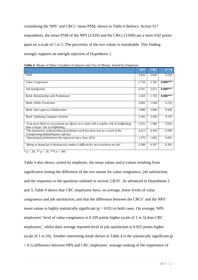considering the NPS' and CRCs' mean PSM, shown in Table 4 (below). Across 517 respondents, the mean PSM of the NPS (3.929) and the CRCs (3.949) are a mere 0.02 points apart on a scale of 1 to 5. The proximity of the two values is remarkable. This finding strongly supports an outright rejection of Hypothesis 1.

|                                                                                                                                  | <b>NPS</b> | <b>CRC</b> | P >  t     |
|----------------------------------------------------------------------------------------------------------------------------------|------------|------------|------------|
| <b>PSM</b>                                                                                                                       | 3.929      | 3.949      | 0.592      |
| Value Congruence                                                                                                                 | 2.734      | 2.395      | $0.000***$ |
| <b>Job Satisfaction</b>                                                                                                          | 4.597      | 3.672      | $0.000***$ |
| Rank: Relationship with Probationer                                                                                              | 1.503      | 1.792      | $0.000***$ |
| Rank: Public Protection                                                                                                          | 2.062      | 1.944      | 0.135      |
| Rank: Inter-agency Collaboration                                                                                                 | 2.888      | 2.844      | 0.436      |
| Rank: Updating Computer Systems                                                                                                  | 3.545      | 3.420      | 0.147      |
| I am more likely to concentrate my efforts on a client with a smaller risk of reoffending<br>than a larger risk of reoffending.' | 1.951      | 1.996      | 0.625      |
| The humanistic underpinning of probation work has been lost as a result of the<br>Transforming Rehabilitation reforms.'          | 4.413      | 4.420      | 0.930      |
| 'Operational performance has improved since June 2014.'                                                                          | 1.570      | 1.602      | 0.691      |
| 'Being so bound up in bureaucracy makes it difficult for me to perform my job.'                                                  | 4.388      | 4.307      | 0.391      |

| Table 4: Means of Main Variables of Interest and Test of Means, Sorted by Employer |  |
|------------------------------------------------------------------------------------|--|
|------------------------------------------------------------------------------------|--|

*\* p < .05, \*\* p < .01, \*\*\* p < .001.*

Table 4 also shows, sorted by employer, the mean values and *p-*values resulting from significance testing the difference of the two means for value congruence, job satisfaction, and the responses to the questions outlined in section 2.B.IV. As advanced in Hypotheses 2 and 3, Table 4 shows that CRC employees have, on average, lower levels of value congruence and job satisfaction, and that the difference between the CRCs' and the NPS' mean values is highly statistically significant  $(p < 0.01)$  in both cases. On average, NPS employees' level of value congruence is 0.339 points higher (scale of 1 to 5) than CRC employees', whilst their average reported level of job satisfaction is 0.925 points higher (scale of 1 to 10). Another interesting result shown in Table 4 is the statistically significant (*p* < 0.1) difference between NPS and CRC employees' average ranking of the importance of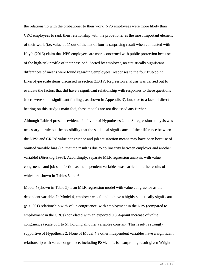the relationship with the probationer to their work. NPS employees were more likely than CRC employees to rank their relationship with the probationer as the most important element of their work (i.e. value of 1) out of the list of four; a surprising result when contrasted with Kay's (2016) claim that NPS employees are more concerned with public protection because of the high-risk profile of their caseload. Sorted by employer, no statistically significant differences of means were found regarding employees' responses to the four five-point Likert-type scale items discussed in section 2.B.IV. Regression analysis was carried out to evaluate the factors that did have a significant relationship with responses to these questions (there were some significant findings, as shown in Appendix 3), but, due to a lack of direct bearing on this study's main foci, these models are not discussed any further.

Although Table 4 presents evidence in favour of Hypotheses 2 and 3, regression analysis was necessary to rule out the possibility that the statistical significance of the difference between the NPS' and CRCs' value congruence and job satisfaction means may have been because of omitted variable bias (i.e. that the result is due to collinearity between employer and another variable) (Jöreskog 1993). Accordingly, separate MLR regression analysis with value congruence and job satisfaction as the dependent variables was carried out, the results of which are shown in Tables 5 and 6.

Model 4 (shown in Table 5) is an MLR regression model with value congruence as the dependent variable. In Model 4, employer was found to have a highly statistically significant  $(p < .001)$  relationship with value congruence, with employment in the NPS (compared to employment in the CRCs) correlated with an expected 0.364-point increase of value congruence (scale of 1 to 5), holding all other variables constant. This result is strongly supportive of Hypothesis 2. None of Model 4's other independent variables have a significant relationship with value congruence, including PSM. This is a surprising result given Wright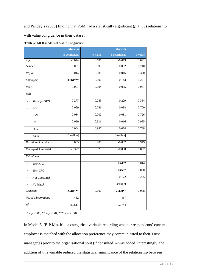and Pandey's (2008) finding that PSM had a statistically significant (*p* < .05) relationship

with value congruence in their dataset.

|                                           | Model 4              |            | Model 5              |            |
|-------------------------------------------|----------------------|------------|----------------------|------------|
|                                           | $\beta$ -coefficient | $p$ -value | $\beta$ -coefficient | $p$ -value |
| Age                                       | $-0.074$             | 0.100      | $-0.079$             | 0.091      |
| Gender                                    | 0.051                | 0.595      | 0.032                | 0.740      |
| Region                                    | 0.014                | 0.388      | 0.016                | 0.330      |
| Employer                                  | $0.364***$           | 0.000      | 0.143                | 0.291      |
| <b>PSM</b>                                | 0.001                | 0.994      | 0.005                | 0.961      |
| Role                                      |                      |            |                      |            |
| Manager/SPO<br>$\qquad \qquad -$          | 0.277                | 0.243      | 0.229                | 0.354      |
| PO<br>$\overline{\phantom{0}}$            | 0.069                | 0.746      | 0.088                | 0.700      |
| PSO<br>$\overline{a}$                     | 0.084                | 0.702      | 0.081                | 0.726      |
| CA                                        | 0.029                | 0.916      | 0.016                | 0.955      |
| Other<br>$\overline{\phantom{0}}$         | 0.004                | 0.987      | 0.074                | 0.788      |
| Admin<br>$\overline{a}$                   | [Baseline]           |            | [Baseline]           |            |
| <b>Duration of Service</b>                | 0.003                | 0.905      | $-0.002$             | 0.949      |
| Employed June 2014                        | $-0.327$             | 0.129      | $-0.080$             | 0.832      |
| E-P Match                                 |                      |            |                      |            |
| Yes: NPS<br>$\overline{\phantom{0}}$      |                      |            | $0.449*$             | 0.014      |
| Yes: CRC<br>$\overline{a}$                |                      |            | $0.459*$             | 0.020      |
| Not Consulted<br>$\overline{\phantom{0}}$ |                      |            | 0.172                | 0.225      |
| No Match<br>$\overline{a}$                |                      |            | [Baseline]           |            |
| Constant                                  | 2.784***             | 0.000      | $2.420**$            | 0.008      |
| No. of Observations                       | 482                  |            | 467                  |            |
| $R^2$                                     | 0.0617               |            | 0.0744               |            |

| Table 5: MLR models of Value Congruence |  |  |  |
|-----------------------------------------|--|--|--|
|-----------------------------------------|--|--|--|

*\* = p < .05; \*\* = p < .01; \*\*\* = p < .001.*

In Model 5, 'E-P Match' – a categorical variable recording whether respondents' current employer is matched with the allocation preference they communicated to their Trust manager(s) prior to the organisational split (if consulted) – was added. Interestingly, the addition of this variable reduced the statistical significance of the relationship between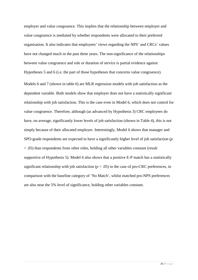employer and value congruence. This implies that the relationship between employer and value congruence is mediated by whether respondents were allocated to their preferred organisation. It also indicates that employees' views regarding the NPS' and CRCs' values have not changed much in the past three years. The non-significance of the relationships between value congruence and role or duration of service is partial evidence against Hypotheses 5 and 6 (i.e. the part of those hypotheses that concerns value congruence).

Models 6 and 7 (shown in table 6) are MLR regression models with job satisfaction as the dependent variable. Both models show that employer does not have a statistically significant relationship with job satisfaction. This is the case even in Model 6, which does not control for value congruence. Therefore, although (as advanced by Hypothesis 3) CRC employees do have, on average, significantly lower levels of job satisfaction (shown in Table 4), this is not simply because of their allocated employer. Interestingly, Model 6 shows that manager and SPO-grade respondents are expected to have a significantly higher level of job satisfaction (*p* < .05) than respondents from other roles, holding all other variables constant (result supportive of Hypothesis 5). Model 6 also shows that a positive E-P match has a statistically significant relationship with job satisfaction ( $p < .05$ ) in the case of pro-CRC preferences, in comparison with the baseline category of 'No Match', whilst matched pro-NPS preferences are also near the 5% level of significance, holding other variables constant.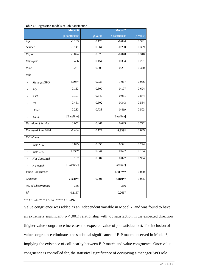| $\beta$ -coefficient<br>$-0.183$<br>$-0.141$<br>$-0.024$<br>0.496 | $p$ -value<br>0.126<br>0.564<br>0.578 | $\beta$ -coefficient<br>$-0.094$<br>$-0.200$ | $p$ -value<br>0.391<br>0.369                |
|-------------------------------------------------------------------|---------------------------------------|----------------------------------------------|---------------------------------------------|
|                                                                   |                                       |                                              |                                             |
|                                                                   |                                       |                                              |                                             |
|                                                                   |                                       |                                              |                                             |
|                                                                   |                                       | $-0.040$                                     | 0.318                                       |
|                                                                   | 0.154                                 | 0.364                                        | 0.251                                       |
| $-0.261$                                                          | 0.305                                 | $-0.231$                                     | 0.320                                       |
|                                                                   |                                       |                                              |                                             |
| $1.293*$                                                          | 0.035                                 | 1.067                                        | 0.056                                       |
| 0.133                                                             | 0.809                                 | 0.197                                        | 0.694                                       |
| 0.107                                                             | 0.849                                 | 0.081                                        | 0.874                                       |
| 0.461                                                             | 0.502                                 | 0.343                                        | 0.584                                       |
| 0.233                                                             | 0.733                                 | 0.419                                        | 0.503                                       |
| [Baseline]                                                        |                                       | [Baseline]                                   |                                             |
| 0.052                                                             | 0.467                                 | 0.023                                        | 0.722                                       |
| $-1.484$                                                          | 0.127                                 | $-1.839*$                                    | 0.039                                       |
|                                                                   |                                       |                                              |                                             |
| 0.895                                                             | 0.056                                 | 0.521                                        | 0.224                                       |
| $1.038*$                                                          | 0.044                                 | 0.627                                        | 0.184                                       |
| 0.197                                                             | 0.584                                 | 0.027                                        | 0.934                                       |
| [Baseline]                                                        |                                       | [Baseline]                                   |                                             |
|                                                                   |                                       | $0.983***$                                   | 0.000                                       |
| 7.350**                                                           | 0.001                                 | 5.849**                                      | 0.005                                       |
| 386                                                               |                                       | 386                                          |                                             |
| 0.1157                                                            |                                       | 0.2667                                       |                                             |
|                                                                   |                                       |                                              | $* = p < .05, ** = p < .01,*** = p < .001.$ |

**Table 6***:* Regression models of Job Satisfaction

Value congruence was added as an independent variable in Model 7, and was found to have an extremely significant  $(p < .001)$  relationship with job satisfaction in the expected direction (higher value-congruence increases the expected value of job satisfaction). The inclusion of value congruence eliminates the statistical significance of E-P match observed in Model 6, implying the existence of collinearity between E-P match and value congruence. Once value congruence is controlled for, the statistical significance of occupying a manager/SPO role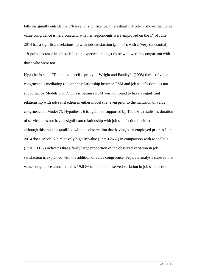falls marginally outside the 5% level of significance. Interestingly, Model 7 shows that, once value congruence is held constant, whether respondents were employed on the 1<sup>st</sup> of June 2014 has a significant relationship with job satisfaction ( $p < .05$ ), with a (very substantial) 1.8-point decrease in job satisfaction expected amongst those who were in comparison with those who were not.

Hypothesis 4 – a TR context-specific proxy of Wright and Pandey's (2008) thesis of value congruence's mediating role on the relationship between PSM and job satisfaction – is not supported by Models 6 or 7. This is because PSM was not found to have a significant relationship with job satisfaction in either model (i.e. even prior to the inclusion of value congruence in Model 7). Hypothesis 6 is again not supported by Table 6's results, as duration of service does not have a significant relationship with job satisfaction in either model, although this must be qualified with the observation that having been employed prior to June 2014 does. Model 7's relatively high  $R^2$  value ( $R^2 = 0.2667$ ) in comparison with Model 6's  $(R^2 = 0.1157)$  indicates that a fairly large proportion of the observed variation in job satisfaction is explained with the addition of value congruence. Separate analysis showed that value congruence alone explains 19.63% of the total observed variation in job satisfaction.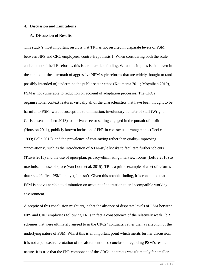#### **4. Discussion and Limitations**

#### **A. Discussion of Results**

This study's most important result is that TR has not resulted in disparate levels of PSM between NPS and CRC employees, contra-Hypothesis 1. When considering both the scale and content of the TR reforms, this is a remarkable finding. What this implies is that, even in the context of the aftermath of aggressive NPM-style reforms that are widely thought to (and possibly intended to) undermine the public sector ethos (Koumenta 2011; Moynihan 2010), PSM is not vulnerable to reduction on account of adaptation processes. The CRCs' organisational context features virtually all of the characteristics that have been thought to be harmful to PSM, were it susceptible to diminution: involuntary transfer of staff (Wright, Christensen and Isett 2013) to a private sector setting engaged in the pursuit of profit (Houston 2011), publicly known inclusion of PbR in contractual arrangements (Deci et al. 1999; Bellé 2015), and the prevalence of cost-saving rather than quality-improving 'innovations', such as the introduction of ATM-style kiosks to facilitate further job cuts (Travis 2015) and the use of open-plan, privacy-eliminating interview rooms (Leftly 2016) to maximise the use of space (van Loon et al. 2015). TR is a prime example of a set of reforms that *should* affect PSM; and yet, it hasn't. Given this notable finding, it is concluded that PSM is not vulnerable to diminution on account of adaptation to an incompatible working environment.

A sceptic of this conclusion might argue that the absence of disparate levels of PSM between NPS and CRC employees following TR is in fact a consequence of the relatively weak PbR schemes that were ultimately agreed to in the CRCs' contracts, rather than a reflection of the underlying nature of PSM. Whilst this is an important point which merits further discussion, it is not a persuasive refutation of the aforementioned conclusion regarding PSM's resilient nature. It is true that the PbR component of the CRCs' contracts was ultimately far smaller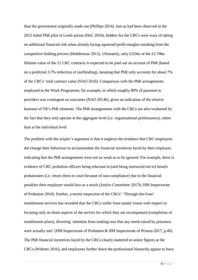than the government originally made out (Phillips 2014). Just as had been observed in the 2012 failed PbR pilot in Leeds prison (HoC 2016), bidders for the CRCs were wary of taking on additional financial risk when already facing squeezed profit margins resulting from the competitive bidding process (Hedderman 2013). Ultimately, only £259m of the £3.79bn lifetime value of the 21 CRC contracts is expected to be paid out on account of PbR (based on a predicted 3.7% reduction of reoffending), meaning that PbR only accounts for about 7% of the CRCs' total contract value (NAO 2016). Comparison with the PbR arrangements employed in the Work Programme, for example, in which roughly 80% of payment to providers was contingent on outcomes (NAO 2014b), gives an indication of the relative leanness of TR's PbR elements. The PbR arrangements with the CRCs are also weakened by the fact that they only operate at the aggregate level (i.e. organisational performance), rather than at the individual level.

The problem with the sceptic's argument is that it neglects the evidence that CRC employees *did* change their behaviour to accommodate the financial incentives faced by their employer, indicating that the PbR arrangements were not so weak as to be ignored. For example, there is evidence of CRC probation officers being reluctant to (and being instructed not to) breach probationers (i.e. return them to court because of non-compliance) due to the financial penalties their employer would face as a result (Justice Committee 2017b; HM Inspectorate of Probation 2016). Further, a recent inspection of the CRCs' 'Through-the-Gate' resettlement services has revealed that the CRCs suffer from tunnel vision with respect to focusing only on those aspects of the service for which they are recompensed (completion of resettlement plans), diverting 'attention from making sure that any needs raised by prisoners were actually met' (HM Inspectorate of Probation & HM Inspectorate of Prisons 2017, p.40). The PbR financial incentives faced by the CRCs clearly mattered to senior figures at the CRCs (Webster 2016), and employees further down the professional hierarchy appear to have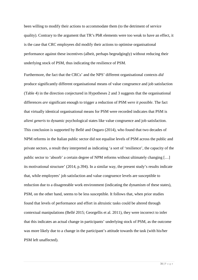been willing to modify their actions to accommodate them (to the detriment of service quality). Contrary to the argument that TR's PbR elements were too weak to have an effect, it is the case that CRC employees did modify their actions to optimise organisational performance against these incentives (albeit, perhaps begrudgingly) without reducing their underlying stock of PSM, thus indicating the resilience of PSM.

Furthermore, the fact that the CRCs' and the NPS' different organisational contexts *did*  produce significantly different organisational means of value congruence and job satisfaction (Table 4) in the direction conjectured in Hypotheses 2 and 3 suggests that the organisational differences *are* significant enough to trigger a reduction of PSM *were it possible*. The fact that virtually identical organisational means for PSM were recorded indicates that PSM is *alieni generis* to dynamic psychological states like value congruence and job satisfaction. This conclusion is supported by Bellé and Ongaro (2014), who found that two decades of NPM reforms in the Italian public sector did not equalise levels of PSM across the public and private sectors, a result they interpreted as indicating 'a sort of 'resilience', the capacity of the public sector to 'absorb' a certain degree of NPM reforms without ultimately changing […] its motivational structure' (2014, p.394). In a similar way, the present study's results indicate that, while employees' job satisfaction and value congruence levels are susceptible to reduction due to a disagreeable work environment (indicating the dynamism of these states), PSM, on the other hand, seems to be less susceptible. It follows that, when prior studies found that levels of performance and effort in altruistic tasks could be altered through contextual manipulations (Bellé 2015; Georgellis et al. 2011), they were incorrect to infer that this indicates an actual change in participants' underlying stock of PSM, as the outcome was more likely due to a change in the participant's attitude towards the task (with his/her PSM left unaffected).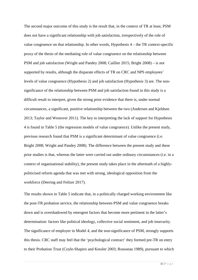The second major outcome of this study is the result that, in the context of TR at least, PSM does not have a significant relationship with job satisfaction, irrespectively of the role of value congruence on that relationship. In other words, Hypothesis 4 – the TR context-specific proxy of the thesis of the mediating role of value congruence on the relationship between PSM and job satisfaction (Wright and Pandey 2008; Caillier 2015; Bright 2008) – is not supported by results, although the disparate effects of TR on CRC and NPS employees' levels of value congruence (Hypothesis 2) and job satisfaction (Hypothesis 3) are. The nonsignificance of the relationship between PSM and job satisfaction found in this study is a difficult result to interpret, given the strong prior evidence that there is, under normal circumstances, a significant, positive relationship between the two (Andersen and Kjeldsen 2013; Taylor and Westover 2011). The key to interpreting the lack of support for Hypothesis 4 is found in Table 5 (the regression models of value congruence). Unlike the present study, previous research found that PSM is a significant determinant of value congruence (i.e. Bright 2008; Wright and Pandey 2008). The difference between the present study and these prior studies is that, whereas the latter were carried out under ordinary circumstances (i.e. in a context of organisational stability), the present study takes place in the aftermath of a highlypoliticised reform agenda that was met with strong, ideological opposition from the workforce (Deering and Feilzer 2017).

The results shown in Table 5 indicate that, in a politically charged working environment like the post-TR probation service, the relationship between PSM and value congruence breaks down and is overshadowed by emergent factors that become more pertinent in the latter's determination: factors like political ideology, collective social sentiment, and job insecurity. The significance of employer in Model 4, and the non-significance of PSM, strongly supports this thesis. CRC staff may feel that the 'psychological contract' they formed pre-TR on entry to their Probation Trust (Coyle-Shapiro and Kessler 2003; Rousseau 1989), pursuant to which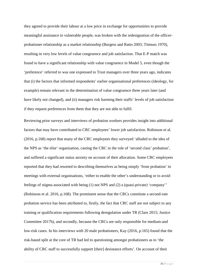they agreed to provide their labour at a low price in exchange for opportunities to provide meaningful assistance to vulnerable people, was broken with the redesignation of the officerprobationer relationship as a market relationship (Burgess and Ratto 2003; Titmuss 1970), resulting in very low levels of value congruence and job satisfaction. That E-P match was found to have a significant relationship with value congruence in Model 5, even though the 'preference' referred to was one expressed to Trust managers over three years ago, indicates that (i) the factors that informed respondents' earlier organisational preferences (ideology, for example) remain relevant in the determination of value congruence three years later (and have likely not changed), and (ii) managers risk harming their staffs' levels of job satisfaction if they request preferences from them that they are not able to fulfil.

Reviewing prior surveys and interviews of probation workers provides insight into additional factors that may have contributed to CRC employees' lower job satisfaction. Robinson et al. (2016, p.168) report that many of the CRC employees they surveyed 'alluded to the idea of the NPS as 'the elite' organisation, casting the CRC in the role of 'second class' probation', and suffered a significant status anxiety on account of their allocation. Some CRC employees reported that they had resorted to describing themselves as being simply 'from probation' in meetings with external organisations, 'either to enable the other's understanding or to avoid feelings of stigma associated with being (1) not NPS and (2) a (quasi-private) 'company'' (Robinson et al. 2016, p.168). The prominent sense that the CRCs constitute a second-rate probation service has been attributed to, firstly, the fact that CRC staff are not subject to any training or qualification requirements following deregulation under TR (Clare 2015; Justice Committee 2017b), and secondly, because the CRCs are only responsible for medium-and low-risk cases. In his interviews with 20 male probationers, Kay (2016, p.165) found that the risk-based split at the core of TR had led to questioning amongst probationers as to 'the ability of CRC staff to successfully support [their] desistance efforts'. On account of their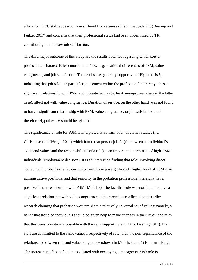allocation, CRC staff appear to have suffered from a sense of legitimacy-deficit (Deering and Feilzer 2017) and concerns that their professional status had been undermined by TR, contributing to their low job satisfaction.

The third major outcome of this study are the results obtained regarding which sort of professional characteristics contribute to *intra*-organisational differences of PSM, value congruence, and job satisfaction. The results are generally supportive of Hypothesis 5, indicating that job role – in particular, placement within the professional hierarchy – has a significant relationship with PSM and job satisfaction (at least amongst managers in the latter case), albeit not with value congruence. Duration of service, on the other hand, was not found to have a significant relationship with PSM, value congruence, or job satisfaction, and therefore Hypothesis 6 should be rejected.

The significance of role for PSM is interpreted as confirmation of earlier studies (i.e. Christensen and Wright 2011) which found that person-job fit (fit between an individual's skills and values and the responsibilities of a role) is an important determinant of high-PSM individuals' employment decisions. It is an interesting finding that roles involving direct contact with probationers are correlated with having a significantly higher level of PSM than administrative positions, and that seniority in the probation professional hierarchy has a positive, linear relationship with PSM (Model 3). The fact that role was not found to have a significant relationship with value congruence is interpreted as confirmation of earlier research claiming that probation workers share a relatively universal set of values; namely, a belief that troubled individuals should be given help to make changes in their lives, and faith that this transformation is possible with the right support (Grant 2016; Deering 2011). If all staff are committed to the same values irrespectively of role, then the non-significance of the relationship between role and value congruence (shown in Models 4 and 5) is unsurprising. The increase in job satisfaction associated with occupying a manager or SPO role is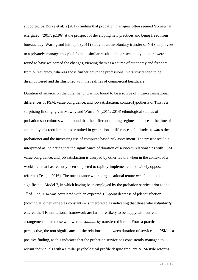supported by Burke et al.'s (2017) finding that probation managers often seemed 'somewhat energized' (2017, p.196) at the prospect of developing new practices and being freed from bureaucracy. Waring and Bishop's (2011) study of an involuntary transfer of NHS employees to a privately-managed hospital found a similar result to the present study: doctors were found to have welcomed the changes, viewing them as a source of autonomy and freedom from bureaucracy, whereas those further down the professional hierarchy tended to be disempowered and disillusioned with the realities of commercial healthcare.

Duration of service, on the other hand, was not found to be a source of intra-organisational differences of PSM, value congruence, and job satisfaction, contra-Hypothesis 6. This is a surprising finding, given Mawby and Worrall's (2011; 2014) ethnological studies of probation sub-cultures which found that the different training regimes in place at the time of an employee's recruitment had resulted in generational differences of attitudes towards the probationer and the increasing use of computer-based risk assessment. The present result is interpreted as indicating that the significance of duration of service's relationships with PSM, value congruence, and job satisfaction is usurped by other factors when in the context of a workforce that has recently been subjected to rapidly-implemented and widely opposed reforms (Teague 2016). The one instance where organisational tenure *was* found to be significant – Model 7, in which having been employed by the probation service prior to the 1<sup>st</sup> of June 2014 was correlated with an expected 1.8-point decrease of job satisfaction (holding all other variables constant) – is interpreted as indicating that those who *voluntarily* entered the TR institutional framework are far more likely to be happy with current arrangements than those who were *involuntarily* transferred into it. From a practical perspective, the non-significance of the relationship between duration of service and PSM is a positive finding, as this indicates that the probation service has consistently managed to recruit individuals with a similar psychological profile despite frequent NPM-style reforms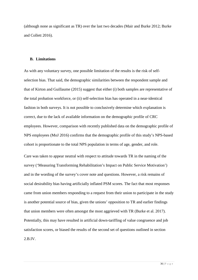(although none as significant as TR) over the last two decades (Mair and Burke 2012; Burke and Collett 2016).

#### **B. Limitations**

As with any voluntary survey, one possible limitation of the results is the risk of selfselection bias. That said, the demographic similarities between the respondent sample and that of Kirton and Guillaume (2015) suggest that either (i) both samples are representative of the total probation workforce, or (ii) self-selection bias has operated in a near-identical fashion in both surveys. It is not possible to conclusively determine which explanation is correct, due to the lack of available information on the demographic profile of CRC employees. However, comparison with recently published data on the demographic profile of NPS employees (MoJ 2016) confirms that the demographic profile of this study's NPS-based cohort is proportionate to the total NPS population in terms of age, gender, and role.

Care was taken to appear neutral with respect to attitude towards TR in the naming of the survey ('Measuring Transforming Rehabilitation's Impact on Public Service Motivation') and in the wording of the survey's cover note and questions. However, a risk remains of social desirability bias having artificially inflated PSM scores. The fact that most responses came from union members responding to a request from their union to participate in the study is another potential source of bias, given the unions' opposition to TR and earlier findings that union members were often amongst the most aggrieved with TR (Burke et al. 2017). Potentially, this may have resulted in artificial down-tariffing of value congruence and job satisfaction scores, or biased the results of the second set of questions outlined in section 2.B.IV.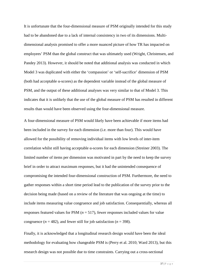It is unfortunate that the four-dimensional measure of PSM originally intended for this study had to be abandoned due to a lack of internal consistency in two of its dimensions. Multidimensional analysis promised to offer a more nuanced picture of how TR has impacted on employees' PSM than the global construct that was ultimately used (Wright, Christensen, and Pandey 2013). However, it should be noted that additional analysis was conducted in which Model 3 was duplicated with either the 'compassion' or 'self-sacrifice' dimension of PSM (both had acceptable α-scores) as the dependent variable instead of the global measure of PSM, and the output of these additional analyses was very similar to that of Model 3. This indicates that it is unlikely that the use of the global measure of PSM has resulted in different results than would have been observed using the four-dimensional measure.

A four-dimensional measure of PSM would likely have been achievable if more items had been included in the survey for each dimension (i.e. more than four). This would have allowed for the possibility of removing individual items with low levels of inter-item correlation whilst still having acceptable α-scores for each dimension (Streiner 2003). The limited number of items per dimension was motivated in part by the need to keep the survey brief in order to attract maximum responses, but it had the unintended consequence of compromising the intended four-dimensional construction of PSM. Furthermore, the need to gather responses within a short time period lead to the publication of the survey prior to the decision being made (based on a review of the literature that was ongoing at the time) to include items measuring value congruence and job satisfaction. Consequentially, whereas all responses featured values for PSM  $(n = 517)$ , fewer responses included values for value congruence  $(n = 482)$ , and fewer still for job satisfaction  $(n = 398)$ .

Finally, it is acknowledged that a longitudinal research design would have been the ideal methodology for evaluating how changeable PSM is (Perry et al. 2010; Ward 2013), but this research design was not possible due to time constraints. Carrying out a cross-sectional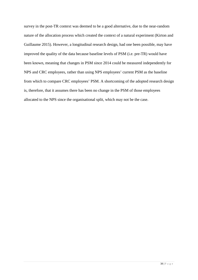survey in the post-TR context was deemed to be a good alternative, due to the near-random nature of the allocation process which created the context of a natural experiment (Kirton and Guillaume 2015). However, a longitudinal research design, had one been possible, may have improved the quality of the data because baseline levels of PSM (i.e. pre-TR) would have been known, meaning that changes in PSM since 2014 could be measured independently for NPS and CRC employees, rather than using NPS employees' current PSM as the baseline from which to compare CRC employees' PSM. A shortcoming of the adopted research design is, therefore, that it assumes there has been no change in the PSM of those employees allocated to the NPS since the organisational split, which may not be the case.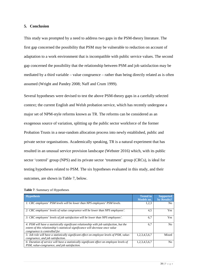#### **5. Conclusion**

This study was prompted by a need to address two gaps in the PSM-theory literature. The first gap concerned the possibility that PSM may be vulnerable to reduction on account of adaptation to a work environment that is incompatible with public service values. The second gap concerned the possibility that the relationship between PSM and job satisfaction may be mediated by a third variable – value congruence – rather than being directly related as is often assumed (Wright and Pandey 2008; Naff and Crum 1999).

Several hypotheses were devised to test the above PSM-theory gaps in a carefully selected context; the current English and Welsh probation service, which has recently undergone a major set of NPM-style reforms known as TR. The reforms can be considered as an exogenous source of variation, splitting up the public sector workforce of the former Probation Trusts in a near-random allocation process into newly established, public and private sector organisations. Academically speaking, TR is a natural experiment that has resulted in an unusual service provision landscape (Webster 2016) which, with its public sector 'control' group (NPS) and its private sector 'treatment' group (CRCs), is ideal for testing hypotheses related to PSM. The six hypotheses evaluated in this study, and their outcomes, are shown in Table 7, below.

| <b>Table 7:</b> Summary of Hypotheses |  |
|---------------------------------------|--|
|---------------------------------------|--|

| <b>Hypothesis</b>                                                                                                                                                                                           | <b>Tested in</b><br>Models no. | <b>Supported</b><br>by Results? |
|-------------------------------------------------------------------------------------------------------------------------------------------------------------------------------------------------------------|--------------------------------|---------------------------------|
| 1: CRC employees' PSM levels will be lower than NPS employees' PSM levels.                                                                                                                                  | 1,2,3                          | N <sub>0</sub>                  |
| 2: CRC employees' levels of value congruence will be lower than NPS employees'.                                                                                                                             | 4.5                            | Yes                             |
| 3: CRC employees' levels of job satisfaction will be lower than NPS employees'.                                                                                                                             | 6,7                            | Yes                             |
| 4: PSM will have a statistically significant relationship with job satisfaction, but the<br>extent of this relationship's statistical significance will decrease once value<br>congruence is controlled for | 6,7                            | N <sub>0</sub>                  |
| 5: Job role will have a statistically significant effect on employee levels of PSM, value-<br>congruence, and job satisfaction.                                                                             | 1,2,3,4,5,6,7                  | Mixed                           |
| 6: Duration of service will have a statistically significant effect on employee levels of<br>PSM, value-congruence, and job satisfaction.                                                                   | 1,2,3,4,5,6,7                  | No                              |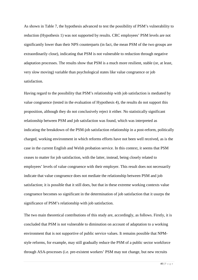As shown in Table 7, the hypothesis advanced to test the possibility of PSM's vulnerability to reduction (Hypothesis 1) was not supported by results. CRC employees' PSM levels are not significantly lower than their NPS counterparts (in fact, the mean PSM of the two groups are extraordinarily close), indicating that PSM is not vulnerable to reduction through negative adaptation processes. The results show that PSM is a much more resilient, stable (or, at least, very slow moving) variable than psychological states like value congruence or job satisfaction.

Having regard to the possibility that PSM's relationship with job satisfaction is mediated by value congruence (tested in the evaluation of Hypothesis 4), the results do not support this proposition, although they do not conclusively reject it either. No statistically significant relationship between PSM and job satisfaction was found, which was interpreted as indicating the breakdown of the PSM-job satisfaction relationship in a post-reform, politically charged, working environment in which reforms efforts have not been well received, as is the case in the current English and Welsh probation service. In this context, it seems that PSM ceases to matter for job satisfaction, with the latter, instead, being closely related to employees' levels of value congruence with their employer. This result does not necessarily indicate that value congruence does not mediate the relationship between PSM and job satisfaction; it is possible that it still does, but that in these extreme working contexts value congruence becomes so significant in the determination of job satisfaction that it usurps the significance of PSM's relationship with job satisfaction.

The two main theoretical contributions of this study are, accordingly, as follows. Firstly, it is concluded that PSM is not vulnerable to diminution on account of adaptation to a working environment that is not supportive of public service values. It remains possible that NPMstyle reforms, for example, may still gradually reduce the PSM of a public sector workforce through ASA-processes (i.e. pre-existent workers' PSM may not change, but new recruits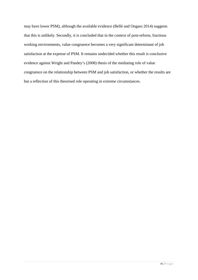may have lower PSM), although the available evidence (Bellé and Ongaro 2014) suggests that this is unlikely. Secondly, it is concluded that in the context of post-reform, fractious working environments, value congruence becomes a very significant determinant of job satisfaction at the expense of PSM. It remains undecided whether this result is conclusive evidence against Wright and Pandey's (2008) thesis of the mediating role of value congruence on the relationship between PSM and job satisfaction, or whether the results are but a reflection of this theorised role operating in extreme circumstances.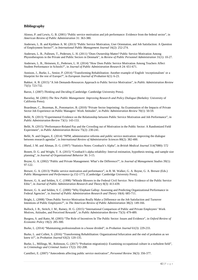#### **Bibliography**

Alonso, P. and Lewis, G. B. (2001) "Public service motivation and job performance: Evidence from the federal sector", in *American Review of Public Administration* 31: 363-380.

Andersen, L. B. and Kjeldsen A. M. (2013) "Public Service Motivation, User Orientation, and Job Satisfaction: A Question of Employment Sector?", in *International Public Management Journal* 16(2): 252-274.

Andersen, L. B., Pallesen, T., Pedersen, L. H. (2011) "Does Ownership Matter? Public Service Motivation Among Physiotherapists in the Private and Public Sectors in Denmark", in *Review of Public Personnel Administration* 31(1): 10-27.

Andersen, L. B., Heinesen, E., Pedersen, L. H. (2014) "How Does Public Service Motivation Among Teachers Affect Student Performance in Schools?", in *Journal of Public Administration Research* 24: 651-671.

Annison, J., Burke, L., Senior, P. (2014) "Transforming Rehabilitation: Another example of English 'exceptionalism' or a blueprint for the rest of Europe?", in *European Journal of Probation* 6(1): 6-23.

Bakker, A. B. (2015) "A Job Demands-Resources Approach to Public Service Motivation", in *Public Administration Review* 75(5): 723-732.

Baron, J. (2007) *Thinking and Deciding* (Cambridge: Cambridge University Press).

Barzelay, M. (2001) *The New Public Management: Improving Research and Policy Dialogue* (Berkeley: University of California Press).

Boardman, C., Bozeman, B., Ponomariov, B. (2010) "Private Sector Imprinting: An Examination of the Impacts of Private Sector Job Experience on Public Managers' Work Attitudes", in *Public Administration Review* 70(1): 50-59.

Bellé, N. (2013) "Experimental Evidence on the Relationship between Public Service Motivation and Job Performance", in *Public Administration Review* 73(1): 143-153.

Bellé, N. (2015) "Performance-Related Pay and the Crowding out of Motivation in the Public Sector: A Randomized Field Experiment", in *Public Administration Review* 75(2): 230-241.

Bellé, N. and Ongaro, E. (2014) "NPM, administrative reforms and public service motivation: improving the dialogue between research agendas", in *International Review of Administrative Sciences* 80(2): 382-400.

Bland, J. M. and Altman, D. G. (1997) "Statistics Notes: Cronbach's Alpha", in *British Medical Journal* 314(7080): 572

Bonett, D. G. and Wright, T. A. (2015) "Cronbach's alpha reliability: Interval estimation, hypothesis testing, and sample size planning", in *Journal of Organizational Behavior* 36: 3-15.

Boyne, G. A. (2002) "Public and Private Management: What's the Difference?", in *Journal of Management Studies* 39(1): 97-122.

Brewer, G. A. (2013) "Public service motivation and performance", in R. M. Walker, G. A. Boyne, G. A. Brewer (Eds.) *Public Management and Performance* (p.152-177). (Cambridge: Cambridge University Press).

Brewer, G. A. and Selden, S. C. (1998) "Whistle Blowers in the Federal Civil Service: New Evidence of the Public Service Ethic", in *Journal of Public Administration Research and Theory* 8(3): 413-439.

Brewer, G. A. and Selden, S. C. (2000) "Why Elephant Gallop: Assessing and Predicting Organizational Performance in Federal Agencies", in *Journal of Public Administration Research and Theory* 10(4): 685-711.

Bright, L. (2008) "Does Public Service Motivation Really Make a Difference on the Job Satisfaction and Turnover Intentions of Public Employees?", in *The American Review of Public Administration* 38(2): 149-166.

Bullock, J. B., Stritch, J. M., Rainey, H. G. (2015) "International Comparison of Public and Private Employees' Work Motives, Attitudes, and Perceived Rewards", in *Public Administration Review* 75(3): 479-489.

Burgess, S. and Ratto, M. (2003) "The Role of Incentives In The Public Sector: Issues and Evidence", in *Oxford Review of Economic Policy* 19(2): 285-300.

Burke, L. (2014) "Maintaining professionalism in a house divided", in *Probation Journal* 61(3): 229-233.

Burke, L. and Collett, S. (2016) "Transforming Rehabilitation: Organizational bifurcation and the end of probation as we knew it?", in *Probation Journal* 63(2): 120-135.

Burke, L., Millings, M., Robinson, G. (2017) "Probation migration(s): Examining occupational culture in a turbulent field", in *Criminology and Criminal Justice* 17(2): 192-208.

Camilleri, E. (2007) "Antecedents affecting public service motivation", *Personnel Review* 36(3): 356-377.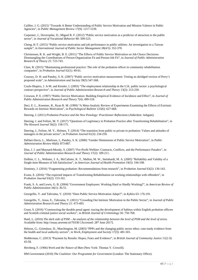Caillier, J. G. (2015) "Towards A Better Understanding of Public Service Motivation and Mission Valence in Public Agencies", in *Public Management Review* 17(9): 1217-1236.

Carpenter, J., Doverspike, D., Miguel R. F. (2012) "Public service motivation as a predictor of attraction to the public sector", in *Journal of Vocational Behavior* 80: 509-523.

Cheng, K-T. (2015) "Public service motivation and job performance in public utilities: An investigation in a Taiwan sample", in *International Journal of Public Sector Management* 28(4/5): 352-370.

Christensen, R. K. and Wright, B. E. (2011) "The Effects of Public Service Motivation on Job Choice Decisions: Disentangling the Contributions of Person-Organization Fit and Person-Job Fit", in *Journal of Public Administration Research of Theory* 21: 723-743.

Clare, R. (2015) "Maintaining professional practice: The role of the probation officer in community rehabilitation companies", in *Probation Journal* 62(1): 49-61.

Coursey, D. H. and Pandey, S. K. (2007) "Public service motivation measurement: Testing an abridged version of Perry's proposed scale", in *Administration and Society* 39(5) 547-568.

Coyle-Shapiro, J. A-M. and Kessler, I. (2003) "The employment relationship in the U.K. public sector: a psychological contract perspective", in *Journal of Public Administration Research and Theory* 13(2): 213-230.

Crewson, P. E. (1997) "Public-Service Motivation: Building Empirical Evidence of Incidence and Effect", in *Journal of Public Administration Research and Theory* 7(4): 499-518.

Deci, E. L., Koestner, R., Ryan R. M. (1999) "A Meta-Analytic Review of Experiments Examining the Effects of Extrinsic Rewards on Intrinsic Motivation", in *Psychological Bulletin* 125(6): 627-668.

Deering, J. (2011) *Probation Practice and the New Penology: Practitioner Reflections* (Aldershot: Ashgate).

Deering, J. and Feilzer, M. Y. (2017) "Questions of Legitimacy in Probation Practice after Transforming Rehabilitation", in *The Howard Journal* 56(2): 158-175.

Deering, J., Feilzer, M. Y., Holmes, T. (2014) "The transition from public to private in probation: Values and attitudes of managers in the private sector", in *Probation Journal* 61(3): 234-250.

DeHart-Davis, L., Marlowe, J., Pandey, S. K. (2006) "Gender Dimensions of Public Service Motivation", in *Public Administration Review* 66(6): 873-887.

Dias, J. J. and Maynard-Moody, S. (2007) "For-Profit Welfare: Contracts, Conflicts, and the Performance Paradox", in *Journal of Public Administration Research and Theory* 17(2): 189-211.

Dolbier, C. L., Webster, J. A., McCalister, K. T., Mallon, M. W., Steinhardt, M. A. (2005) "Reliability and Validity of a Single-item Measure of Job Satisfaction", in *American Journal of Health Promotion* 19(3): 194-198.

Dominey, J. (2016) "Fragmenting probation: Recommendations from research", in *Probation Journal* 63(2): 136-143.

Evans, E. (2016) "The expected impacts of Transforming Rehabilitation on working relationships with offenders", in *Probation Journal* 63(2): 153-161.

Frank, S. A. and Lewis, G. B. (2004) "Government Employees: Working Hard or Hardly Working?", in *American Review of Public Administration* 34(1): 36-51.

Georgellis, Y. and Tabvuma, V. (2010) "Does Public Service Motivation Adapt?", in *Kyklos* 63: 176-191.

Georgellis, Y., Iossa, E., Tabvuma, V. (2011) "Crowding Out Intrinsic Motivation in the Public Sector", in *Journal of Public Administration Research and Theory* 21: 473-493.

Grant, S. (2016) "Constructing the durable penal agent: tracing the development of habitus within English probation officers and Scottish criminal justice social workers", in *British Journal of Criminology* 56: 750-768.

Hartl, L. (2016) *The dark side of PSM – An analysis of the relationship between the level of PSM and the level of stress*. Available from[: http://essay.utwente.nl/70330/](http://essay.utwente.nl/70330/) [Accessed: 28<sup>th</sup> June 2017].

Hebson, G., Grimshaw, D., Marchington, M. (2003) "PPPs and the changing public sector ethos: case-study evidence from the health and local authority sectors", in *Work, Employment and Society* 17(3): 481-501.

Hedderman, C. (2013) "Payment by Results: Hopes, Fears and Evidence", in *British Journal of Community Justice* 11(2-3): 43-58.

Herzberg, F. (1966) *Work and the Nature of Man* (New York: Thomas Y. Crowell).

HM Government (2010) *The Coalition: Our Programme for Government* (London: The Stationary Office).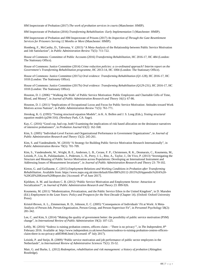HM Inspectorate of Probation (2017) *The work of probation services in courts* (Manchester: HMIP).

HM Inspectorate of Probation (2016) *Transforming Rehabilitation: Early Implementation 5* (Manchester: HMIP).

HM Inspectorate of Probation and HM Inspectorate of Prisons (2017) *An Inspection of Through the Gate Resettlement Services for Prisoners Serving 12 Months or More* (Manchester: HMIP).

Homberg, F., McCarthy, D., Tabvuma, V. (2015) "A Meta-Analysis of the Relationship between Public Service Motivation and Job Satisfaction", in *Public Administration Review* 75(5): 711-722.

House of Commons: Committee of Public Accounts (2016) *Transforming Rehabilitation,* HC 2016-17, HC 484 (London: The Stationary Office).

House of Commons: Justice Committee (2014) *Crime reduction policies: a co-ordinated approach? Interim report on the Government's Transforming Rehabilitation programme*, HC 2013-14, HC 1004 (London: The Stationary Office).

House of Commons: Justice Committee (2017a) *Oral evidence: Transforming Rehabilitation (Q1-128)*, HC 2016-17, HC 1018 (London: The Stationary Office).

House of Commons: Justice Committee (2017b) *Oral evidence: Transforming Rehabilitation (Q129-231)*, HC 2016-17, HC 1018 (London: The Stationary Office).

Houston, D. J. (2006) "'Walking the Walk' of Public Service Motivation: Public Employees and Charitable Gifts of Time, Blood, and Money", in *Journal of Public Administration Research and Theory* 16(1): 67-86.

Houston, D. J. (2011) "Implications of Occupational Locus and Focus for Public Service Motivation: Attitudes toward Work Motives across Nations", in *Public Administration Review* 71(5): 761-771.

Jöreskog, K. G. **(**1993) "Testing structural equation Models", in K. A. Bollen and J. S. Long (Eds.), *Testing structural equation models* (p294-316). (Newbury Park, CA: Sage).

Kay, C. (2016) "Good cop, bad cop, both? Examining the implications of risk based allocation on the desistance narratives of intensive probationers", in *Probation Journal* 63(2): 162-168.

Kim, S. (2005) "Individual-Level Factors and Organizational Performance in Government Organizations", in *Journal of Public Administration Research and Theory* 15(2): 245-261.

Kim, S. and Vandenabeele, W. (2010) "A Strategy for Building Public Service Motivation Research Internationally", in *Public Administration Review* 70(5): 701-709.

Kim, S., Vandenabeele, W., Wright, B. E., Andersen, L. B., Cerase, F. P., Christensen, R. K., Desmarais, C., Koumenta, M., Leisink, P., Liu, B., Palidauskaite, J., Pedersen, L. H., Perry, J. L., Ritz, A., Taylor, J., De Vivo, P. (2013) "Investigating the Structure and Meaning of Public Service Motivation across Populations: Developing an International Instrument and Addressing Issues of Measurement Invariance", in *Journal of Public Administration Research and Theory* 23: 79-102.

Kirton, G. and Guillaume, C. (2015) *Employment Relations and Working Conditions in Probation after Transforming Rehabilitation*. Available from[: https://www.napo.org.uk/sites/default/files/BR%20112-2015%20Appendix%20A%20-](https://www.napo.org.uk/sites/default/files/BR%20112-2015%20Appendix%20A%20-%20Gill%20Kirton%20Report.doc) [%20Gill%20Kirton%20Report.doc](https://www.napo.org.uk/sites/default/files/BR%20112-2015%20Appendix%20A%20-%20Gill%20Kirton%20Report.doc) [Accessed: 4th of June 2017].

Kjeldsen, A. M. and Jacobsen C. B. (2012) "Public Service Motivation and Employment Sector: Attraction or Socialization?", in *Journal of Public Administration Research and Theory* 23: 899-926.

Koumenta, M. (2011) "Modernization, Privatization, and the Public Service Ethos in the United Kingdom", in D. Marsden (Ed.) *Employment in the Lean Years: Policy and Prospects for the Next Decade* (Chapter 14). (Oxford: Oxford University Press).

Kristof-Brown, A. L., Zimmerman, R. D., Johnson, E. C. (2005) "Consequences of Individuals' Fit at Work: A Meta-Analysis of Person-Job, Person-Organization, Person-Group, and Person-Supervisor Fit", in *Personnel Psychology* 58(2): 281-342.

Lee, C. and Kim, S. (2014) "Making the quality of government better: the possibility of public service motivation (PSM) change", in *International Review of Public Administration* 19(2): 107-125.

Leftly, M. (2016) "Sodexo is ruining probation centres, officers claim – 'There is no privacy'", in *The Independent*, 8th February 2016. Available at[: http://www.independent.co.uk/news/business/sodexo-is-ruining-probation-centres-officers](http://www.independent.co.uk/news/business/sodexo-is-ruining-probation-centres-officers-claim-there-is-no-privacy-a6859946.html)[claim-there-is-no-privacy-a6859946.html](http://www.independent.co.uk/news/business/sodexo-is-ruining-probation-centres-officers-claim-there-is-no-privacy-a6859946.html) (Accessed: 4th July 2017).

Leisink, P. and Steijn, B. (2009) "Public service motivation and job performance of public sector employees in the Netherlands", in *International Review of Administrative Sciences* 75(1): 35-52.

Mair, G. and Burke, L. (2012) *Redemption, rehabilitation and risk management: a history of probation* (Abingdon: Routledge).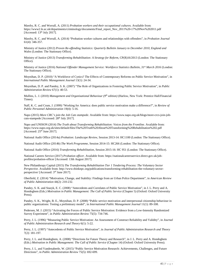Mawby, R. C. and Worrall, A. (2011) *Probation workers and their occupational cultures*. Available from: https://www2.le.ac.uk/departments/criminology/documents/Final\_report\_Nov\_2011%20-17%20Nov%202011.pdf [Accessed: 13<sup>th</sup> July 2017].

Mawby, R. C. and Worrall, A. (2014) "Probation worker cultures and relationships with offenders", in *Probation Journal*  61(4): 346-357.

Ministry of Justice (2012) *Proven Re-offending Statistics: Quarterly Bulletin January to December 2010, England and Wales* (London: The Stationary Office).

Ministry of Justice (2013) *Transforming Rehabilitation: A Strategy for Reform*, CP(R)16/2013 (London: The Stationary Office).

Ministry of Justice (2016) *National Offender Management Service: Workforce Statistics Bulletin, 31st March 2016* (London: The Stationary Office).

Moynihan, D. P. (2010) "A Workforce of Cynics? The Effects of Contemporary Reforms on Public Service Motivation", in *International Public Management Journal* 13(1): 24-34.

Moynihan, D. P. and Pandey, S. K. (2007) "The Role of Organizations in Fostering Public Service Motivation", in *Public Administration Review* 67(1): 40-53.

Mullins, L. J. (2010) *Management and Organisational Behaviour (9th edition)* (Harlow, New York: Prentice Hall/Financial Times).

Naff, K. C. and Crum, J. (1999) "Working for America: does public service motivation make a difference?", in *Review of Public Personnel Administration* 19(4): 5-16.

Napo (2015) *More CRC's join the Job Cuts stampede*. Available from[: https://www.napo.org.uk/blogs/more-crcs-join-job](https://www.napo.org.uk/blogs/more-crcs-join-job-cuts-stampede)[cuts-stampede](https://www.napo.org.uk/blogs/more-crcs-join-job-cuts-stampede) [Accessed: 28<sup>th</sup> July 2017].

Napo and UNISON (2014) *The Truth about Transforming Rehabilitation: Voices from the Frontline*. Available from: <https://www.napo.org.uk/sites/default/files/The%20Truth%20About%20Transforming%20Rehabilitation%202.pdf> [Accessed: 25<sup>th</sup> June 2017].

National Audit Office (2014a) *Probation: Landscape Review*, Session 2013-14: HC1100 (London: The Stationary Office).

National Audit Office (2014b) *The Work Programme*, Session 2014-15: HC266 (London: The Stationary Office).

National Audit Office (2016) *Transforming Rehabilitation*, Session 2015-16: HC 951 (London: The Stationary Office).

National Careers Service (2017) *Probation officer*. Available from[: https://nationalcareersservice.direct.gov.uk/job](https://nationalcareersservice.direct.gov.uk/job-profiles/probation-officer)[profiles/probation-officer](https://nationalcareersservice.direct.gov.uk/job-profiles/probation-officer) [Accessed: 13th August 2017].

New Philanthropy Capital (2015) *The Transforming Rehabilitation Tier 1 Tendering Process: The Voluntary Sector Perspective*. Available from: [http://www.thinknpc.org/publications/transforming-rehabilitation-the-voluntary-sector](http://www.thinknpc.org/publications/transforming-rehabilitation-the-voluntary-sector-perspective/)[perspective/](http://www.thinknpc.org/publications/transforming-rehabilitation-the-voluntary-sector-perspective/) [Accessed: 3rd June 2017].

Oberfield, Z. (2014) "Motivation, Change, and Stability: Findings from an Urban Police Department", in *American Review of Public Administration* 44(2): 210-232.

Pandey, S. K. and Stazyk, E. C. (2008) "Antecedents and Correlates of Public Service Motivation", in J. L. Perry and A. Hondeghem (Eds.) *Motivation in Public Management: The Call of Public Service* (Chapter 5) (Oxford: Oxford University Press).

Pandey, S. K., Wright, B. E., Moynihan, D. P. (2008) "Public service motivation and interpersonal citizenship behaviour in public organizations: Testing a preliminary model", in *International Public Management Journal* 11(1): 89-108.

Pedersen, M. J. (2015) "Activating the Forces of Public Service Motivation: Evidence from a Low-Intensity Randomized Survey Experiment", in *Public Administration Review* 75(5): 734-746.

Perry, J. L. (1996) "Measuring Public Service Motivation: An Assessment of Construct Reliability and Validity", in *Journal of Public Administration Research and Theory* 6(1): 5-22.

Perry, J. L. (1997) "Antecedents of Public Service Motivation", in *Journal of Public Administration Research and Theory* 7(2): 181-197.

Perry, J. L. and Hondeghem, A. (2008) "Directions for Future Theory and Research", in J. L. Perry and A. Hondeghem (Eds.) *Motivation in Public Management: The Call of Public Service* (Chapter 14) (Oxford: Oxford University Press).

Perry, J. L. and Vandenabeele, W. (2015) "Public Service Motivation Research: Achievements, Challenges, and Future Directions", in *Public Administration Review* 75(5): 692-699.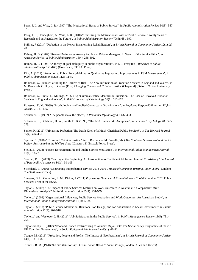Perry, J. L. and Wise, L. R. (1990) "The Motivational Bases of Public Service", in *Public Administration Review* 50(3): 367- 373.

Perry, J. L., Hondeghem, A., Wise, L. R. (2010) "Revisiting the Motivational Bases of Public Service: Twenty Years of Research and an Agenda for the Future", in *Public Administration Review* 70(5): 681-690.

Phillips, J. (2014) "Probation in the News: Transforming Rehabilitation", in *British Journal of Community Justice* 12(1): 27- 48.

Rainey, H. G. (1982) "Reward Preferences Among Public and Private Managers: In Search of the Service Ethic", in *American Review of Public Administration* 16(4): 288-302.

Rainey, H. G. (1993) "A theory of goal ambiguity in public organizations", in J. L. Perry (Ed.) *Research in public administration* (p. 121-166) (Greenwich, CT: JAI Press).

Ritz, A. (2011) "Attraction to Public Policy-Making: A Qualitative Inquiry into Improvements in PSM Measurement", in *Public Administration* 89(3): 1128-1147.

Robinson, G. (2016) "Patrolling the Borders of Risk: The New Bifurcation of Probation Services in England and Wales", in M. Bosworth, C. Hoyle, L. Zedner (Eds.) *Changing Contours of Criminal Justice* (Chapter 4) (Oxford: Oxford University Press).

Robinson, G., Burke, L., Millings, M. (2016) "Criminal Justice Identities in Transition: The Case of Devolved Probation Services in England and Wales", in *British Journal of Criminology* 56(1): 161-178.

Rousseau, D. M. (1989) "Psychological and Implied Contracts in Organizations", in *Employee Responsibilities and Rights Journal* 2: 121-139.

Schneider, B. (1987) "The people make the place", in *Personnel Psychology* 40: 437-453.

Schneider, B., Goldstein, H. W., Smith, D. B. (1995) "The ASA framework: An update", in *Personnel Psychology* 48: 747- 773.

Senior, P. (2016) "Privatising Probation: The Death Knell of a Much-Cherished Public Service?", in *The Howard Journal* 55(4): 414-431.

Squires, P. (2016) "Crime and Criminal Justice", in H. Bochel and M. Powell (Eds.) *The Coalition Government and Social Policy: Restructuring the Welfare State* (Chapter 13) (Bristol: Policy Press).

Steijn, B. (2008) "Person-Environment Fit and Public Service Motivation", in *International Public Management Journal*   $11(1): 13-27.$ 

Streiner, D. L. (2003) "Starting at the Beginning: An Introduction to Coefficient Alpha and Internal Consistency", in *Journal of Personality Assessment* 80(1): 99-103.

Strickland, P. (2016) "Contracting out probation services 2013-2016", *House of Commons Briefing Paper 06894* (London: The Stationary Office).

Sturgess, G. L., Cumming, L. M., Dicker, J. (2011) *Payment by Outcome: A Commissioner's Toolkit* (London: 2020 Public Services Trust at the RSA).

Taylor, J. (2007) "The Impact of Public Services Motives on Work Outcomes in Australia: A Comparative Multi-Dimensional Analysis", in *Public Administration* 85(4): 931-959.

Taylor, J. (2008) "Organizational Influences, Public Service Motivation and Work Outcomes: An Australian Study", in *International Public Management Journal* 11(1): 67-88.

Taylor, J. (2013) "Public Service Motivation, Relational Job Design, and Job Satisfaction in Local Government", in *Public Administration* 92(4): 902-918.

Taylor, J. and Westover, J. H. (2011) "Job Satisfaction in the Public Service", in *Public Management Review* 13(5): 731- 751.

Taylor-Gooby, P. (2012) "Root and Branch Restructuring to Achieve Major Cuts: The Social Policy Programme of the 2010 UK Coalition Government", in *Social Policy and Administration* 46(1): 61-82.

Teague, M. (2016) "Probation, People and Profits: The Impact of Neoliberalism", in *British Journal of Community Justice* 14(1): 133-138.

Titmuss, R. M. (1970) *The Gift Relationship: From Human Blood to Social Policy* (London: Allen and Unwin).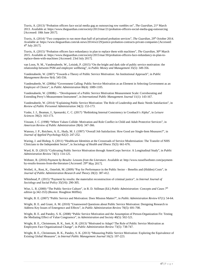Travis, A. (2013) "Probation officers face social media gag as outsourcing row rumbles on", *The Guardian*, 21<sup>st</sup> March 2013. Available at:<https://www.theguardian.com/society/2013/mar/21/probation-officers-social-media-gag-outsourcing> [Accessed: 18th June 2017].

Travis, A. (2014) "Two companies to run more than half of privatised probation services", *The Guardian*, 29th October 2014. Available at[: https://www.theguardian.com/uk-news/2014/oct/29/justice-probation-contracts-private-companies](https://www.theguardian.com/uk-news/2014/oct/29/justice-probation-contracts-private-companies) [Accessed: 4th July 2017].

Travis, A. (2015) "Probation officers face redundancy in plan to replace them with machines", *The Guardian*, 30<sup>th</sup> March 2015. Available at: [https://www.theguardian.com/society/2015/mar/30/probation-officers-face-redundancy-in-plan-to](https://www.theguardian.com/society/2015/mar/30/probation-officers-face-redundancy-in-plan-to-replace-them-with-machines)[replace-them-with-machines](https://www.theguardian.com/society/2015/mar/30/probation-officers-face-redundancy-in-plan-to-replace-them-with-machines) [Accessed: 23rd July 2017].

van Loon, N. M., Vandenabeele, W., Leisink, P. (2015) "On the bright and dark side of public service motivation: the relationship between PSM and employee wellbeing", in *Public Money and Management* 35(5): 349-356.

Vandenabeele, W. (2007) "Towards a Theory of Public Service Motivation: An Institutional Approach", in *Public Management Review* 9(4): 545-556.

Vandenabeele, W. (2008a) "Government Calling: Public Service Motivation as an Element in Selecting Government as an Employer of Choice", in *Public Administration* 86(4): 1089-1105.

Vandenabeele, W. (2008b) – "Development of a Public Service Motivation Measurement Scale: Corroborating and Extending Perry's Measurement Instrument", in *International Public Management Journal* 11(1): 143-167.

Vandenabeele, W. (2014) "Explaining Public Service Motivation: The Role of Leadership and Basic Needs Satisfaction", in *Review of Public Personnel Administration* 34(2): 153-173.

Vaske, J. J., Beaman, J., Sponarski, C. C. (2017) "Rethinking Internal Consistency in Cronbach's Alpha", in *Leisure Sciences* 39(2): 163-173.

Vinzant, J. C. (1998) "Where Values Collide: Motivation and Role Conflict in Child and Adult Protective Services", in *American Review of Public Administration* 28(4): 347-366.

Wanous, J. P., Reichers, A. E., Hudy, M. J. (1997) "Overall Job Satisfaction: How Good are Single-Item Measures?", in *Journal of Applied Psychology* 82(2): 247-252.

Waring, J. and Bishop, S. (2011) "Healthcare Identities at the Crossroads of Service Modernisation: The Transfer of NHS Clinicians to the Independent Sector", in *Sociology of Health and Illness* 35(3): 661-676.

Ward, K. D. (2013) "Cultivating Public Service Motivation through AmeriCorps Service: A Longitudinal Study", in *Public Administration Review* 74(1): 114-125.

Webster, R. (2016) *Payment by Results: Lessons from the Literature*. Available at: http://www.russellwebster.com/paymentby-results-lessons-from-the-literature [Accessed: 29<sup>th</sup> May 2017].

Weibel, A., Rost, K., Osterloh, M. (2009) "Pay for Performance in the Public Sector – Benefits and (Hidden) Costs", in *Journal of Public Administration Research and Theory* 20(2): 387-412.

Whitehead, P. (2015) "Payment by results: the materialist reconstruction of criminal justice", in *Internal Journal of Sociology and Social Policy* 35(5/6): 290-305.

Wise, L. R. (2000) "The Public Service Culture", in R. D. Stillman (Ed.) *Public Administration: Concepts and Cases 7th edition* (p.342-353) (Boston: Houghton Mifflin).

Wright, B. E. (2007) "Public Service and Motivation: Does Mission Matter?", in *Public Administration Review* 67(1): 54-64.

Wright, B. E. and Grant, A. M. (2010) "Unanswered Questions about Public Service Motivation: Designing Research to Address Key Issues of Emergence and Effects", in *Public Administration Review* 70(5): 691-700.

Wright, B. E. and Pandey, S. K. (2008) "Public Service Motivation and the Assumption of Person-Organization Fit: Testing the Mediating Effect of Value Congruence", in *Administration and Society* 40(5): 502-521.

Wright, B. E., Christensen, R. K., Isett, K. R. (2013) "Motivated to Adapt? The Role of Public Service Motivation as Employees Face Organizational Change", in *Public Administration Review* 73(5): 738-747.

Wright, B. E., Christensen, R. K., Pandey, S. K. (2013) "Measuring Public Service Motivation: Exploring the Equivalence of Existing Global Measures", in *Internal Public Management Journal* 16(2): 197-223.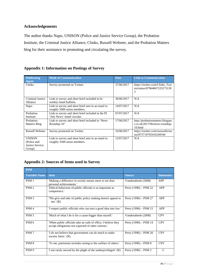#### **Acknowledgements**

UNISON (Police and Justice Service Group)

The author thanks Napo, UNISON (Police and Justice Service Group), the Probation Institute, the Criminal Justice Alliance, Clinks, Russell Webster, and the Probation Matters blog for their assistance in promoting and circulating the survey.

| <b>Publicizing</b><br><b>Agent</b> | <b>Mode of Communication</b>                                                      | <b>Date</b> | <b>Link to Communication</b>                                                   |
|------------------------------------|-----------------------------------------------------------------------------------|-------------|--------------------------------------------------------------------------------|
| Clinks                             | Survey promoted on Twitter.                                                       | 27/06/2017  | https://twitter.com/Clinks_Twe<br>ets/status/87964847225273139                 |
| Criminal Justice<br>Alliance       | Link to survey and short brief included in bi-<br>weekly email bulletin.          | 30/06/2017  | N/A                                                                            |
| Napo                               | Link to survey and short brief sent in an email to<br>roughly 5000 union members. | 14/07/2017  | N/A                                                                            |
| Probation<br>Institute             | Link to survey and short brief included in the PI<br>'July News' email circular.  | 07/07/2017  | N/A                                                                            |
| Probation<br>Matters Blog          | Link to survey and short brief included in 'News<br>Roundup 10'                   | 17/06/2017  | http://probationmatters.blogspo<br>$t.co.uk/2017/06/news$ -roundup-<br>10.html |

Link to survey and short brief sent in an email to

#### **Appendix 1: Information on Postings of Survey**

#### **Appendix 2: Sources of Items used in Survey**

roughly 3500 union members.

| <b>PSM</b>           |                                                                                                                     |                         |                  |
|----------------------|---------------------------------------------------------------------------------------------------------------------|-------------------------|------------------|
| <b>Variable Name</b> | Item                                                                                                                | <b>Source</b>           | <b>Dimension</b> |
| PSM <sub>1</sub>     | 'Making a difference in society means more to me than<br>personal achievements.'                                    | Vandenabeele (2008)     | <b>APP</b>       |
| PSM <sub>2</sub>     | 'Ethical behaviour of public officials is as important as<br>competence.'                                           | Perry $(1996) - PSM$ 22 | <b>APP</b>       |
| PSM <sub>3</sub>     | The give and take of public policy making doesn't appeal to<br>me.' $(R)$                                           | Perry $(1996) - PSM 27$ | <b>APP</b>       |
| PSM <sub>4</sub>     | 'I respect public officials who can turn a good idea into law.'                                                     | Perry $(1996) - PSM$ 15 | <b>APP</b>       |
| PSM <sub>5</sub>     | 'Much of what I do is for a cause bigger than myself.'                                                              | Vandenabeele (2008)     | <b>CPV</b>       |
| PSM <sub>6</sub>     | When public officials take an oath of office, I believe they<br>accept obligations not expected of other citizens." | Perry $(1996) -$ PSM 14 | <b>CPV</b>       |
| PSM <sub>7</sub>     | I do not believe that government can do much to make<br>society fairer.' (R)                                        | Perry $(1996) -$ PSM 20 | <b>CPV</b>       |
| PSM <sub>8</sub>     | To me, patriotism includes seeing to the welfare of others.'                                                        | Perry $(1996) - PSM 8$  | <b>CPV</b>       |
| PSM <sub>9</sub>     | T am rarely moved by the plight of the underprivileged. (R)                                                         | Perry $(1996) - PSM$ 2  | $\mathcal{C}$    |

Russell Webster Survey promoted on Twitter. 16/06/2017 https://twitter.com/russwebt/sta

tus/875710705416249344

12/07/2017 N/A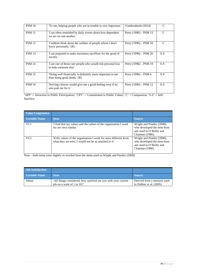| <b>PSM 10</b> | To me, helping people who are in trouble is very important.                              | Vandenabeele (2014)     | C             |
|---------------|------------------------------------------------------------------------------------------|-------------------------|---------------|
| <b>PSM 11</b> | I am often reminded by daily events about how dependent<br>we are on one another.        | Perry (1996) – PSM 13   | $\mathcal{C}$ |
| <b>PSM 12</b> | I seldom think about the welfare of people whom I don't<br>know personally.' $(R)$       | Perry $(1996) -$ PSM 10 | C             |
| <b>PSM 13</b> | I am prepared to make enormous sacrifices for the good of<br>society.'                   | Perry $(1996) - PSM 26$ | $S-S$         |
| <b>PSM 14</b> | T am one of those rare people who would risk personal loss<br>to help someone else.'     | Perry (1996) – PSM 19   | $S-S$         |
| <b>PSM 15</b> | Doing well financially is definitely more important to me<br>than doing good deeds.' [R] | Perry $(1996) -$ PSM 6  | $S-S$         |
| <b>PSM 16</b> | 'Serving citizens would give me a good feeling even if no<br>one paid me for it.'        | Perry (1996) – PSM 12   | $S-S$         |

'APP' = Attraction to Public Participation; 'CPV' = Commitment to Public Values; 'C' = Compassion; 'S-S' = Self-Sacrifice

| Value Congruence     |                                                                                                                          |                                                                                                         |
|----------------------|--------------------------------------------------------------------------------------------------------------------------|---------------------------------------------------------------------------------------------------------|
| <b>Variable Name</b> | <b>Item</b>                                                                                                              | <b>Source</b>                                                                                           |
| VC1                  | If find that my values and the values of the organisation I work<br>for are very similar.                                | Wright and Pandey (2008),<br>who developed the item from<br>one used in O'Reilly and<br>Chatman (1986). |
| VC2                  | If the values of the organisation I work for were different from<br>what they are now, I would not be as attached to it. | Wright and Pandey (2008),<br>who developed the item from<br>one used in O'Reilly and<br>Chatman (1986). |

Note – both items were slightly re-worded from the items used in Wright and Pandey (2008).

| <b>Job Satisfaction</b> |                                                                                               |                                                         |
|-------------------------|-----------------------------------------------------------------------------------------------|---------------------------------------------------------|
| <b>Variable Name</b>    | <b>Item</b>                                                                                   | <b>Source</b>                                           |
| Jobsat                  | All things considered, how satisfied are you with your current<br>iob on a scale of 1 to 10?' | Derived from a measure used<br>in Dolbier et al. (2005) |
|                         |                                                                                               |                                                         |